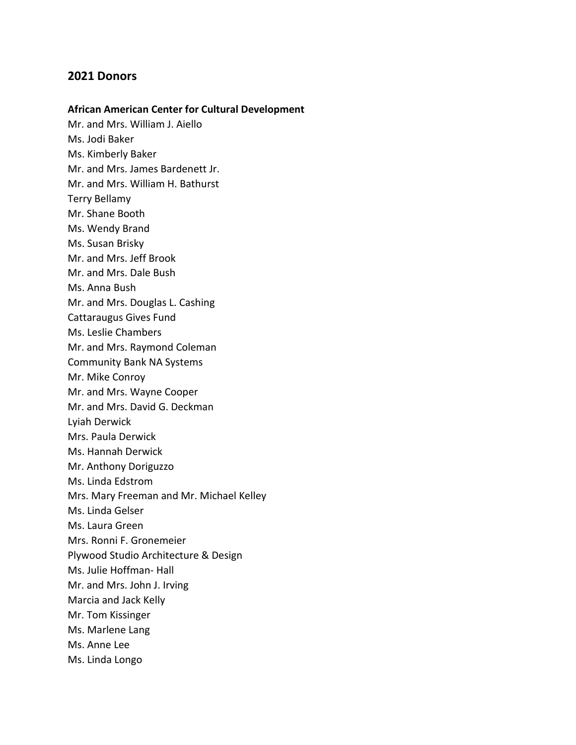# **2021 Donors**

# **African American Center for Cultural Development**

Mr. and Mrs. William J. Aiello Ms. Jodi Baker Ms. Kimberly Baker Mr. and Mrs. James Bardenett Jr. Mr. and Mrs. William H. Bathurst Terry Bellamy Mr. Shane Booth Ms. Wendy Brand Ms. Susan Brisky Mr. and Mrs. Jeff Brook Mr. and Mrs. Dale Bush Ms. Anna Bush Mr. and Mrs. Douglas L. Cashing Cattaraugus Gives Fund Ms. Leslie Chambers Mr. and Mrs. Raymond Coleman Community Bank NA Systems Mr. Mike Conroy Mr. and Mrs. Wayne Cooper Mr. and Mrs. David G. Deckman Lyiah Derwick Mrs. Paula Derwick Ms. Hannah Derwick Mr. Anthony Doriguzzo Ms. Linda Edstrom Mrs. Mary Freeman and Mr. Michael Kelley Ms. Linda Gelser Ms. Laura Green Mrs. Ronni F. Gronemeier Plywood Studio Architecture & Design Ms. Julie Hoffman- Hall Mr. and Mrs. John J. Irving Marcia and Jack Kelly Mr. Tom Kissinger Ms. Marlene Lang Ms. Anne Lee Ms. Linda Longo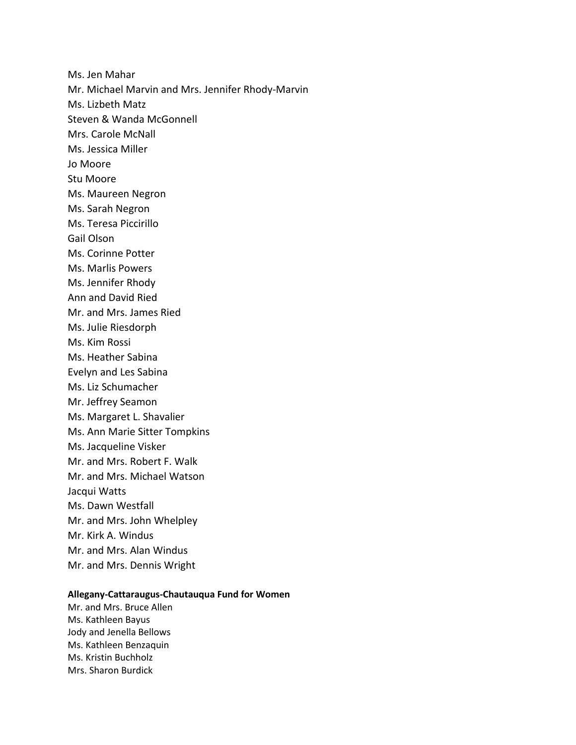Ms. Jen Mahar Mr. Michael Marvin and Mrs. Jennifer Rhody-Marvin Ms. Lizbeth Matz Steven & Wanda McGonnell Mrs. Carole McNall Ms. Jessica Miller Jo Moore Stu Moore Ms. Maureen Negron Ms. Sarah Negron Ms. Teresa Piccirillo Gail Olson Ms. Corinne Potter Ms. Marlis Powers Ms. Jennifer Rhody Ann and David Ried Mr. and Mrs. James Ried Ms. Julie Riesdorph Ms. Kim Rossi Ms. Heather Sabina Evelyn and Les Sabina Ms. Liz Schumacher Mr. Jeffrey Seamon Ms. Margaret L. Shavalier Ms. Ann Marie Sitter Tompkins Ms. Jacqueline Visker Mr. and Mrs. Robert F. Walk Mr. and Mrs. Michael Watson Jacqui Watts Ms. Dawn Westfall Mr. and Mrs. John Whelpley Mr. Kirk A. Windus Mr. and Mrs. Alan Windus Mr. and Mrs. Dennis Wright

# **Allegany-Cattaraugus-Chautauqua Fund for Women**

Mr. and Mrs. Bruce Allen Ms. Kathleen Bayus Jody and Jenella Bellows Ms. Kathleen Benzaquin Ms. Kristin Buchholz Mrs. Sharon Burdick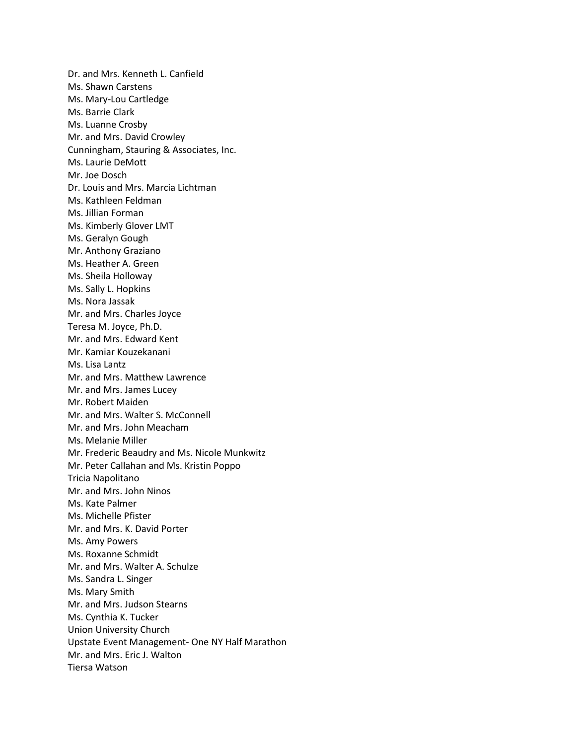Dr. and Mrs. Kenneth L. Canfield Ms. Shawn Carstens Ms. Mary-Lou Cartledge Ms. Barrie Clark Ms. Luanne Crosby Mr. and Mrs. David Crowley Cunningham, Stauring & Associates, Inc. Ms. Laurie DeMott Mr. Joe Dosch Dr. Louis and Mrs. Marcia Lichtman Ms. Kathleen Feldman Ms. Jillian Forman Ms. Kimberly Glover LMT Ms. Geralyn Gough Mr. Anthony Graziano Ms. Heather A. Green Ms. Sheila Holloway Ms. Sally L. Hopkins Ms. Nora Jassak Mr. and Mrs. Charles Joyce Teresa M. Joyce, Ph.D. Mr. and Mrs. Edward Kent Mr. Kamiar Kouzekanani Ms. Lisa Lantz Mr. and Mrs. Matthew Lawrence Mr. and Mrs. James Lucey Mr. Robert Maiden Mr. and Mrs. Walter S. McConnell Mr. and Mrs. John Meacham Ms. Melanie Miller Mr. Frederic Beaudry and Ms. Nicole Munkwitz Mr. Peter Callahan and Ms. Kristin Poppo Tricia Napolitano Mr. and Mrs. John Ninos Ms. Kate Palmer Ms. Michelle Pfister Mr. and Mrs. K. David Porter Ms. Amy Powers Ms. Roxanne Schmidt Mr. and Mrs. Walter A. Schulze Ms. Sandra L. Singer Ms. Mary Smith Mr. and Mrs. Judson Stearns Ms. Cynthia K. Tucker Union University Church Upstate Event Management- One NY Half Marathon Mr. and Mrs. Eric J. Walton Tiersa Watson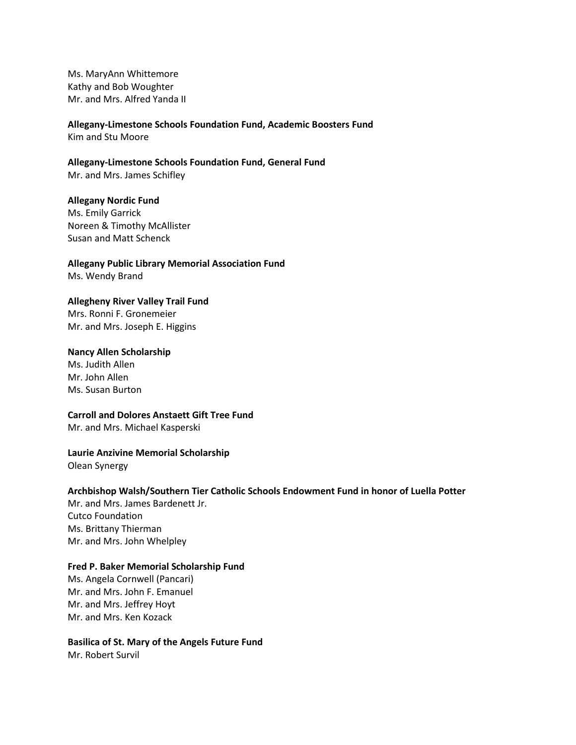Ms. MaryAnn Whittemore Kathy and Bob Woughter Mr. and Mrs. Alfred Yanda II

**Allegany-Limestone Schools Foundation Fund, Academic Boosters Fund** Kim and Stu Moore

**Allegany-Limestone Schools Foundation Fund, General Fund** Mr. and Mrs. James Schifley

**Allegany Nordic Fund** Ms. Emily Garrick Noreen & Timothy McAllister Susan and Matt Schenck

**Allegany Public Library Memorial Association Fund** Ms. Wendy Brand

# **Allegheny River Valley Trail Fund**

Mrs. Ronni F. Gronemeier Mr. and Mrs. Joseph E. Higgins

## **Nancy Allen Scholarship**

Ms. Judith Allen Mr. John Allen Ms. Susan Burton

#### **Carroll and Dolores Anstaett Gift Tree Fund**

Mr. and Mrs. Michael Kasperski

## **Laurie Anzivine Memorial Scholarship**

Olean Synergy

# **Archbishop Walsh/Southern Tier Catholic Schools Endowment Fund in honor of Luella Potter**

Mr. and Mrs. James Bardenett Jr. Cutco Foundation Ms. Brittany Thierman Mr. and Mrs. John Whelpley

## **Fred P. Baker Memorial Scholarship Fund**

Ms. Angela Cornwell (Pancari) Mr. and Mrs. John F. Emanuel Mr. and Mrs. Jeffrey Hoyt Mr. and Mrs. Ken Kozack

**Basilica of St. Mary of the Angels Future Fund** Mr. Robert Survil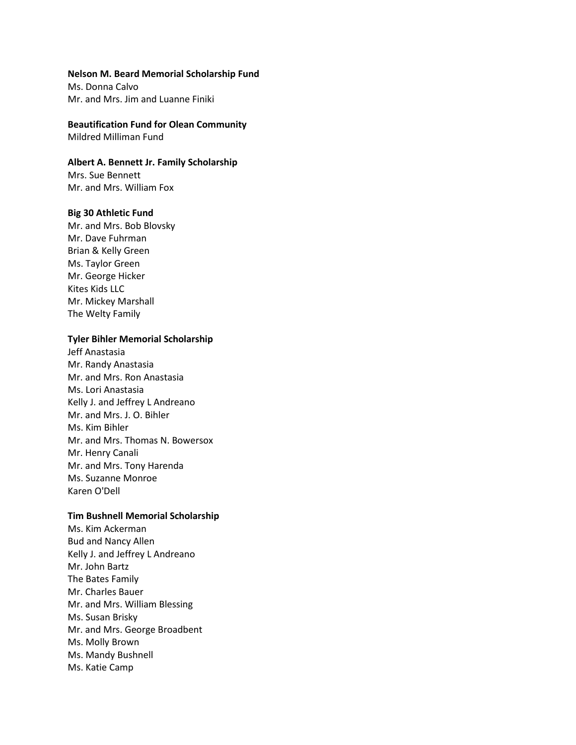#### **Nelson M. Beard Memorial Scholarship Fund**

Ms. Donna Calvo Mr. and Mrs. Jim and Luanne Finiki

# **Beautification Fund for Olean Community**

Mildred Milliman Fund

## **Albert A. Bennett Jr. Family Scholarship**

Mrs. Sue Bennett Mr. and Mrs. William Fox

#### **Big 30 Athletic Fund**

Mr. and Mrs. Bob Blovsky Mr. Dave Fuhrman Brian & Kelly Green Ms. Taylor Green Mr. George Hicker Kites Kids LLC Mr. Mickey Marshall The Welty Family

#### **Tyler Bihler Memorial Scholarship**

Jeff Anastasia Mr. Randy Anastasia Mr. and Mrs. Ron Anastasia Ms. Lori Anastasia Kelly J. and Jeffrey L Andreano Mr. and Mrs. J. O. Bihler Ms. Kim Bihler Mr. and Mrs. Thomas N. Bowersox Mr. Henry Canali Mr. and Mrs. Tony Harenda Ms. Suzanne Monroe Karen O'Dell

## **Tim Bushnell Memorial Scholarship**

Ms. Kim Ackerman Bud and Nancy Allen Kelly J. and Jeffrey L Andreano Mr. John Bartz The Bates Family Mr. Charles Bauer Mr. and Mrs. William Blessing Ms. Susan Brisky Mr. and Mrs. George Broadbent Ms. Molly Brown Ms. Mandy Bushnell Ms. Katie Camp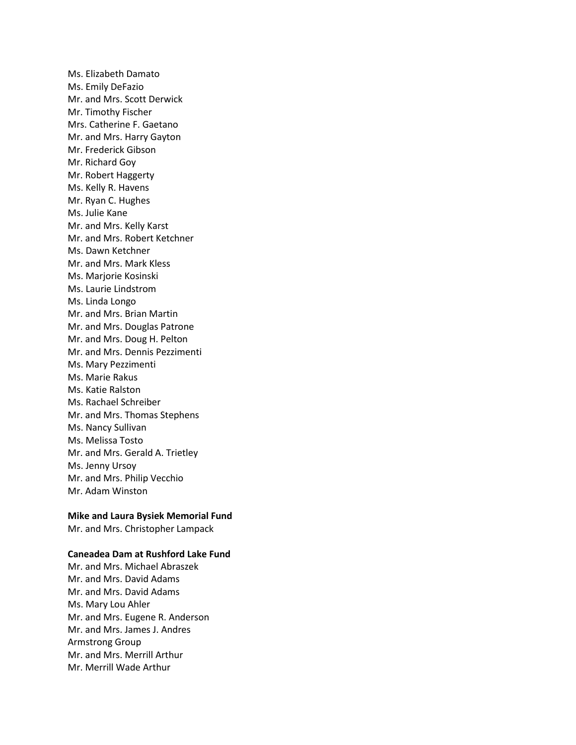Ms. Elizabeth Damato Ms. Emily DeFazio Mr. and Mrs. Scott Derwick Mr. Timothy Fischer Mrs. Catherine F. Gaetano Mr. and Mrs. Harry Gayton Mr. Frederick Gibson Mr. Richard Goy Mr. Robert Haggerty Ms. Kelly R. Havens Mr. Ryan C. Hughes Ms. Julie Kane Mr. and Mrs. Kelly Karst Mr. and Mrs. Robert Ketchner Ms. Dawn Ketchner Mr. and Mrs. Mark Kless Ms. Marjorie Kosinski Ms. Laurie Lindstrom Ms. Linda Longo Mr. and Mrs. Brian Martin Mr. and Mrs. Douglas Patrone Mr. and Mrs. Doug H. Pelton Mr. and Mrs. Dennis Pezzimenti Ms. Mary Pezzimenti Ms. Marie Rakus Ms. Katie Ralston Ms. Rachael Schreiber Mr. and Mrs. Thomas Stephens Ms. Nancy Sullivan Ms. Melissa Tosto Mr. and Mrs. Gerald A. Trietley Ms. Jenny Ursoy Mr. and Mrs. Philip Vecchio Mr. Adam Winston

#### **Mike and Laura Bysiek Memorial Fund**

Mr. and Mrs. Christopher Lampack

#### **Caneadea Dam at Rushford Lake Fund**

Mr. and Mrs. Michael Abraszek Mr. and Mrs. David Adams Mr. and Mrs. David Adams Ms. Mary Lou Ahler Mr. and Mrs. Eugene R. Anderson Mr. and Mrs. James J. Andres Armstrong Group Mr. and Mrs. Merrill Arthur Mr. Merrill Wade Arthur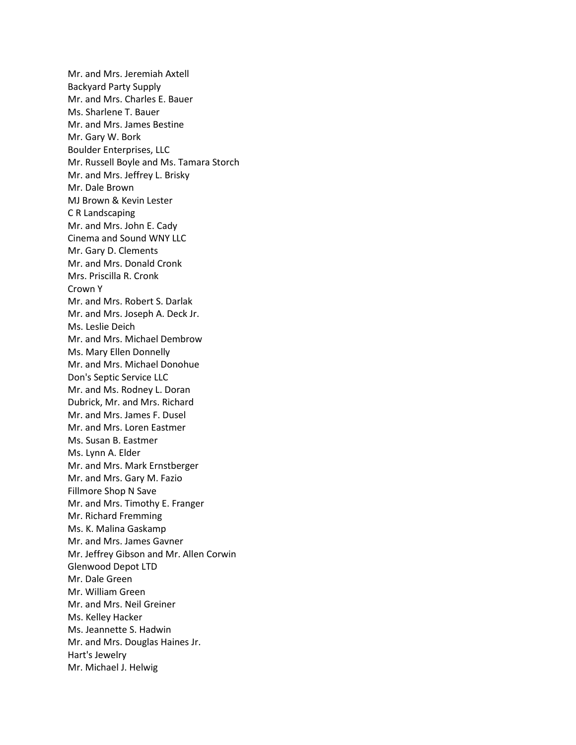Mr. and Mrs. Jeremiah Axtell Backyard Party Supply Mr. and Mrs. Charles E. Bauer Ms. Sharlene T. Bauer Mr. and Mrs. James Bestine Mr. Gary W. Bork Boulder Enterprises, LLC Mr. Russell Boyle and Ms. Tamara Storch Mr. and Mrs. Jeffrey L. Brisky Mr. Dale Brown MJ Brown & Kevin Lester C R Landscaping Mr. and Mrs. John E. Cady Cinema and Sound WNY LLC Mr. Gary D. Clements Mr. and Mrs. Donald Cronk Mrs. Priscilla R. Cronk Crown Y Mr. and Mrs. Robert S. Darlak Mr. and Mrs. Joseph A. Deck Jr. Ms. Leslie Deich Mr. and Mrs. Michael Dembrow Ms. Mary Ellen Donnelly Mr. and Mrs. Michael Donohue Don's Septic Service LLC Mr. and Ms. Rodney L. Doran Dubrick, Mr. and Mrs. Richard Mr. and Mrs. James F. Dusel Mr. and Mrs. Loren Eastmer Ms. Susan B. Eastmer Ms. Lynn A. Elder Mr. and Mrs. Mark Ernstberger Mr. and Mrs. Gary M. Fazio Fillmore Shop N Save Mr. and Mrs. Timothy E. Franger Mr. Richard Fremming Ms. K. Malina Gaskamp Mr. and Mrs. James Gavner Mr. Jeffrey Gibson and Mr. Allen Corwin Glenwood Depot LTD Mr. Dale Green Mr. William Green Mr. and Mrs. Neil Greiner Ms. Kelley Hacker Ms. Jeannette S. Hadwin Mr. and Mrs. Douglas Haines Jr. Hart's Jewelry Mr. Michael J. Helwig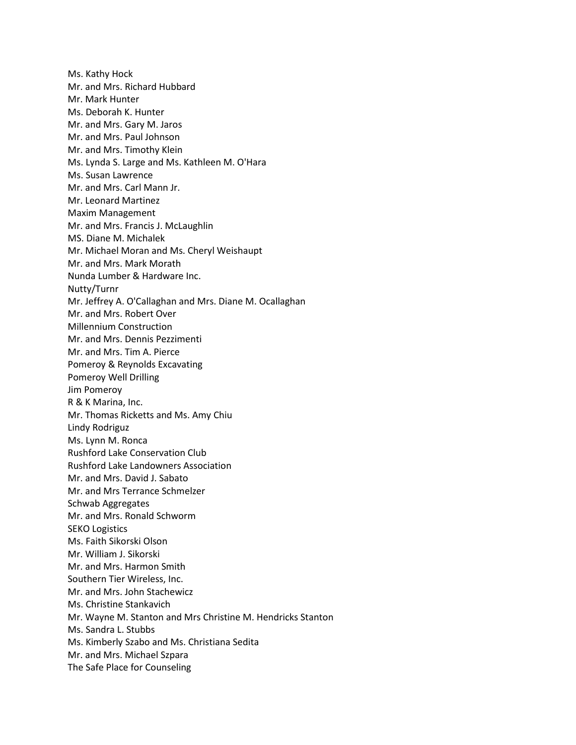Ms. Kathy Hock Mr. and Mrs. Richard Hubbard Mr. Mark Hunter Ms. Deborah K. Hunter Mr. and Mrs. Gary M. Jaros Mr. and Mrs. Paul Johnson Mr. and Mrs. Timothy Klein Ms. Lynda S. Large and Ms. Kathleen M. O'Hara Ms. Susan Lawrence Mr. and Mrs. Carl Mann Jr. Mr. Leonard Martinez Maxim Management Mr. and Mrs. Francis J. McLaughlin MS. Diane M. Michalek Mr. Michael Moran and Ms. Cheryl Weishaupt Mr. and Mrs. Mark Morath Nunda Lumber & Hardware Inc. Nutty/Turnr Mr. Jeffrey A. O'Callaghan and Mrs. Diane M. Ocallaghan Mr. and Mrs. Robert Over Millennium Construction Mr. and Mrs. Dennis Pezzimenti Mr. and Mrs. Tim A. Pierce Pomeroy & Reynolds Excavating Pomeroy Well Drilling Jim Pomeroy R & K Marina, Inc. Mr. Thomas Ricketts and Ms. Amy Chiu Lindy Rodriguz Ms. Lynn M. Ronca Rushford Lake Conservation Club Rushford Lake Landowners Association Mr. and Mrs. David J. Sabato Mr. and Mrs Terrance Schmelzer Schwab Aggregates Mr. and Mrs. Ronald Schworm SEKO Logistics Ms. Faith Sikorski Olson Mr. William J. Sikorski Mr. and Mrs. Harmon Smith Southern Tier Wireless, Inc. Mr. and Mrs. John Stachewicz Ms. Christine Stankavich Mr. Wayne M. Stanton and Mrs Christine M. Hendricks Stanton Ms. Sandra L. Stubbs Ms. Kimberly Szabo and Ms. Christiana Sedita Mr. and Mrs. Michael Szpara The Safe Place for Counseling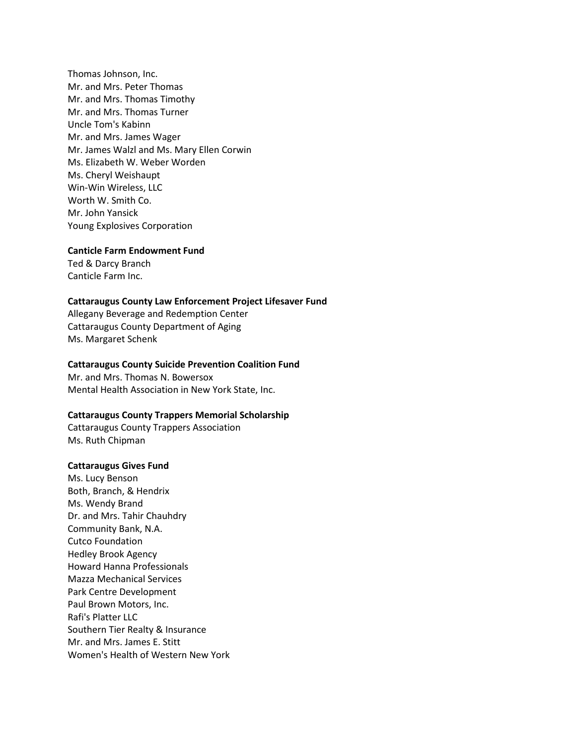Thomas Johnson, Inc. Mr. and Mrs. Peter Thomas Mr. and Mrs. Thomas Timothy Mr. and Mrs. Thomas Turner Uncle Tom's Kabinn Mr. and Mrs. James Wager Mr. James Walzl and Ms. Mary Ellen Corwin Ms. Elizabeth W. Weber Worden Ms. Cheryl Weishaupt Win-Win Wireless, LLC Worth W. Smith Co. Mr. John Yansick Young Explosives Corporation

#### **Canticle Farm Endowment Fund**

Ted & Darcy Branch Canticle Farm Inc.

#### **Cattaraugus County Law Enforcement Project Lifesaver Fund**

Allegany Beverage and Redemption Center Cattaraugus County Department of Aging Ms. Margaret Schenk

#### **Cattaraugus County Suicide Prevention Coalition Fund**

Mr. and Mrs. Thomas N. Bowersox Mental Health Association in New York State, Inc.

#### **Cattaraugus County Trappers Memorial Scholarship**

Cattaraugus County Trappers Association Ms. Ruth Chipman

#### **Cattaraugus Gives Fund**

Ms. Lucy Benson Both, Branch, & Hendrix Ms. Wendy Brand Dr. and Mrs. Tahir Chauhdry Community Bank, N.A. Cutco Foundation Hedley Brook Agency Howard Hanna Professionals Mazza Mechanical Services Park Centre Development Paul Brown Motors, Inc. Rafi's Platter LLC Southern Tier Realty & Insurance Mr. and Mrs. James E. Stitt Women's Health of Western New York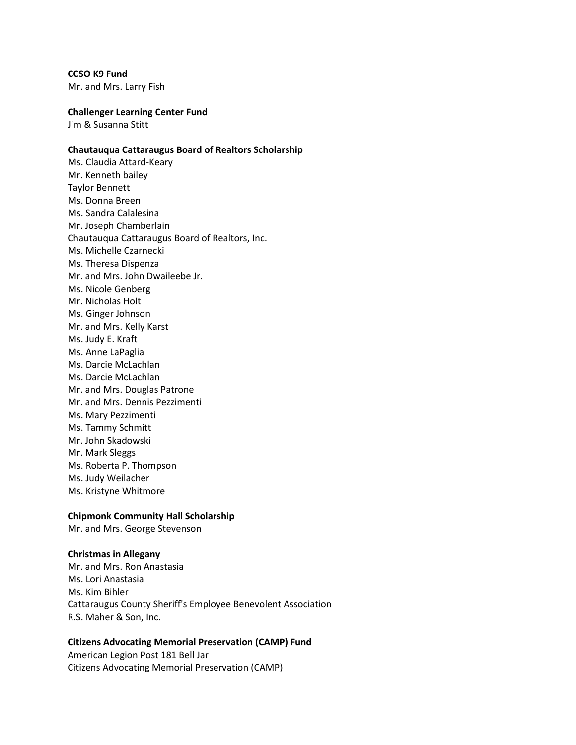**CCSO K9 Fund**

Mr. and Mrs. Larry Fish

#### **Challenger Learning Center Fund**

Jim & Susanna Stitt

# **Chautauqua Cattaraugus Board of Realtors Scholarship**

Ms. Claudia Attard-Keary Mr. Kenneth bailey Taylor Bennett Ms. Donna Breen Ms. Sandra Calalesina Mr. Joseph Chamberlain Chautauqua Cattaraugus Board of Realtors, Inc. Ms. Michelle Czarnecki Ms. Theresa Dispenza Mr. and Mrs. John Dwaileebe Jr. Ms. Nicole Genberg Mr. Nicholas Holt Ms. Ginger Johnson Mr. and Mrs. Kelly Karst Ms. Judy E. Kraft Ms. Anne LaPaglia Ms. Darcie McLachlan Ms. Darcie McLachlan Mr. and Mrs. Douglas Patrone Mr. and Mrs. Dennis Pezzimenti Ms. Mary Pezzimenti Ms. Tammy Schmitt Mr. John Skadowski Mr. Mark Sleggs Ms. Roberta P. Thompson Ms. Judy Weilacher Ms. Kristyne Whitmore

## **Chipmonk Community Hall Scholarship**

Mr. and Mrs. George Stevenson

## **Christmas in Allegany**

Mr. and Mrs. Ron Anastasia Ms. Lori Anastasia Ms. Kim Bihler Cattaraugus County Sheriff's Employee Benevolent Association R.S. Maher & Son, Inc.

# **Citizens Advocating Memorial Preservation (CAMP) Fund**

American Legion Post 181 Bell Jar Citizens Advocating Memorial Preservation (CAMP)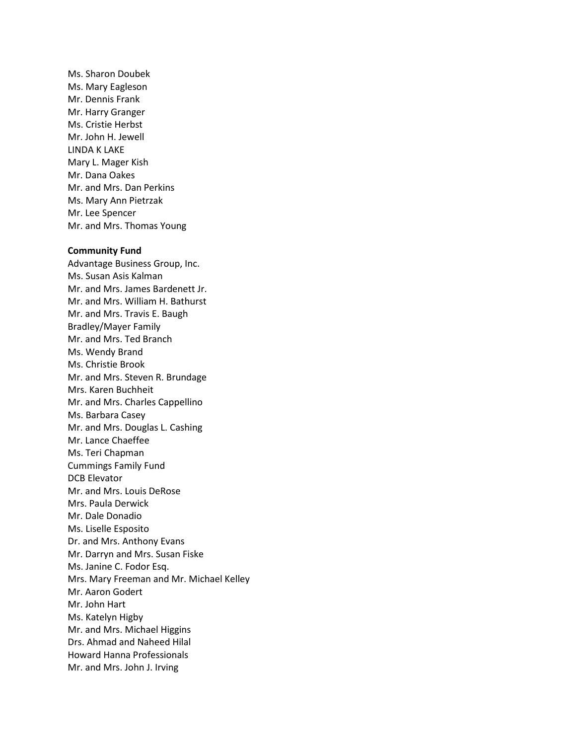Ms. Sharon Doubek Ms. Mary Eagleson Mr. Dennis Frank Mr. Harry Granger Ms. Cristie Herbst Mr. John H. Jewell LINDA K LAKE Mary L. Mager Kish Mr. Dana Oakes Mr. and Mrs. Dan Perkins Ms. Mary Ann Pietrzak Mr. Lee Spencer Mr. and Mrs. Thomas Young

#### **Community Fund**

Advantage Business Group, Inc. Ms. Susan Asis Kalman Mr. and Mrs. James Bardenett Jr. Mr. and Mrs. William H. Bathurst Mr. and Mrs. Travis E. Baugh Bradley/Mayer Family Mr. and Mrs. Ted Branch Ms. Wendy Brand Ms. Christie Brook Mr. and Mrs. Steven R. Brundage Mrs. Karen Buchheit Mr. and Mrs. Charles Cappellino Ms. Barbara Casey Mr. and Mrs. Douglas L. Cashing Mr. Lance Chaeffee Ms. Teri Chapman Cummings Family Fund DCB Elevator Mr. and Mrs. Louis DeRose Mrs. Paula Derwick Mr. Dale Donadio Ms. Liselle Esposito Dr. and Mrs. Anthony Evans Mr. Darryn and Mrs. Susan Fiske Ms. Janine C. Fodor Esq. Mrs. Mary Freeman and Mr. Michael Kelley Mr. Aaron Godert Mr. John Hart Ms. Katelyn Higby Mr. and Mrs. Michael Higgins Drs. Ahmad and Naheed Hilal Howard Hanna Professionals Mr. and Mrs. John J. Irving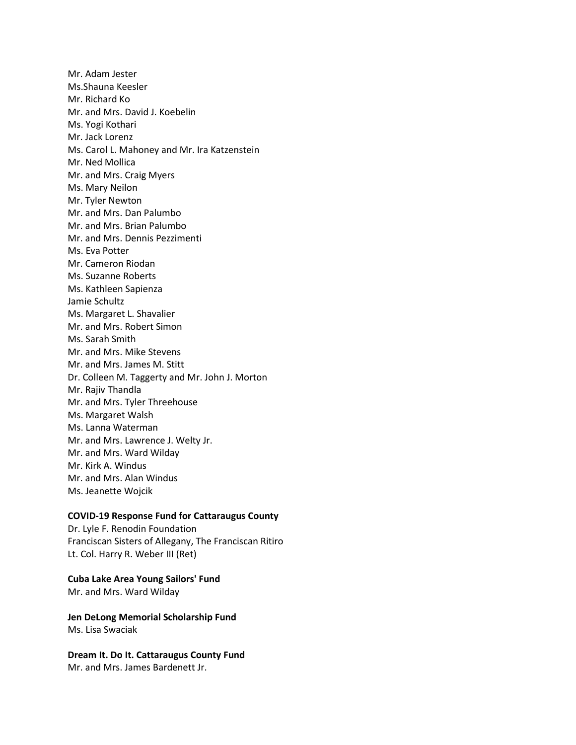Mr. Adam Jester Ms.Shauna Keesler Mr. Richard Ko Mr. and Mrs. David J. Koebelin Ms. Yogi Kothari Mr. Jack Lorenz Ms. Carol L. Mahoney and Mr. Ira Katzenstein Mr. Ned Mollica Mr. and Mrs. Craig Myers Ms. Mary Neilon Mr. Tyler Newton Mr. and Mrs. Dan Palumbo Mr. and Mrs. Brian Palumbo Mr. and Mrs. Dennis Pezzimenti Ms. Eva Potter Mr. Cameron Riodan Ms. Suzanne Roberts Ms. Kathleen Sapienza Jamie Schultz Ms. Margaret L. Shavalier Mr. and Mrs. Robert Simon Ms. Sarah Smith Mr. and Mrs. Mike Stevens Mr. and Mrs. James M. Stitt Dr. Colleen M. Taggerty and Mr. John J. Morton Mr. Rajiv Thandla Mr. and Mrs. Tyler Threehouse Ms. Margaret Walsh Ms. Lanna Waterman Mr. and Mrs. Lawrence J. Welty Jr. Mr. and Mrs. Ward Wilday Mr. Kirk A. Windus Mr. and Mrs. Alan Windus Ms. Jeanette Wojcik

## **COVID-19 Response Fund for Cattaraugus County**

Dr. Lyle F. Renodin Foundation Franciscan Sisters of Allegany, The Franciscan Ritiro Lt. Col. Harry R. Weber III (Ret)

## **Cuba Lake Area Young Sailors' Fund**

Mr. and Mrs. Ward Wilday

**Jen DeLong Memorial Scholarship Fund** Ms. Lisa Swaciak

**Dream It. Do It. Cattaraugus County Fund** Mr. and Mrs. James Bardenett Jr.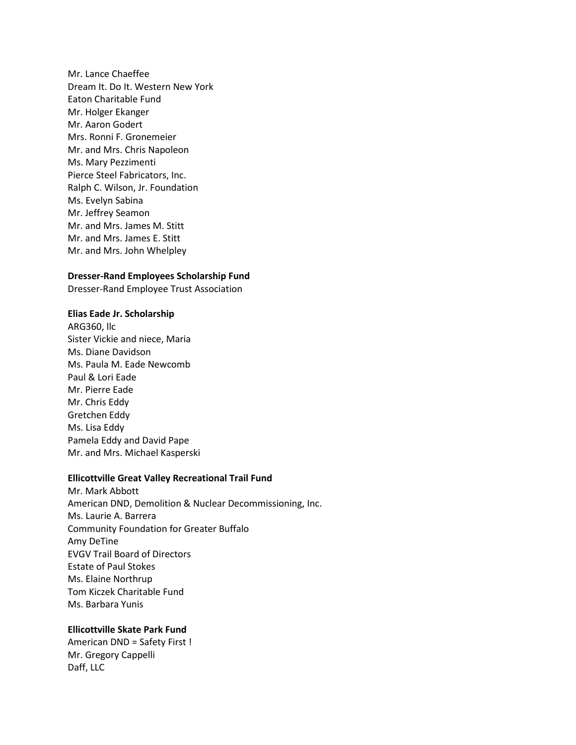Mr. Lance Chaeffee Dream It. Do It. Western New York Eaton Charitable Fund Mr. Holger Ekanger Mr. Aaron Godert Mrs. Ronni F. Gronemeier Mr. and Mrs. Chris Napoleon Ms. Mary Pezzimenti Pierce Steel Fabricators, Inc. Ralph C. Wilson, Jr. Foundation Ms. Evelyn Sabina Mr. Jeffrey Seamon Mr. and Mrs. James M. Stitt Mr. and Mrs. James E. Stitt Mr. and Mrs. John Whelpley

## **Dresser-Rand Employees Scholarship Fund**

Dresser-Rand Employee Trust Association

#### **Elias Eade Jr. Scholarship**

ARG360, llc Sister Vickie and niece, Maria Ms. Diane Davidson Ms. Paula M. Eade Newcomb Paul & Lori Eade Mr. Pierre Eade Mr. Chris Eddy Gretchen Eddy Ms. Lisa Eddy Pamela Eddy and David Pape Mr. and Mrs. Michael Kasperski

#### **Ellicottville Great Valley Recreational Trail Fund**

Mr. Mark Abbott American DND, Demolition & Nuclear Decommissioning, Inc. Ms. Laurie A. Barrera Community Foundation for Greater Buffalo Amy DeTine EVGV Trail Board of Directors Estate of Paul Stokes Ms. Elaine Northrup Tom Kiczek Charitable Fund Ms. Barbara Yunis

#### **Ellicottville Skate Park Fund**

American DND = Safety First ! Mr. Gregory Cappelli Daff, LLC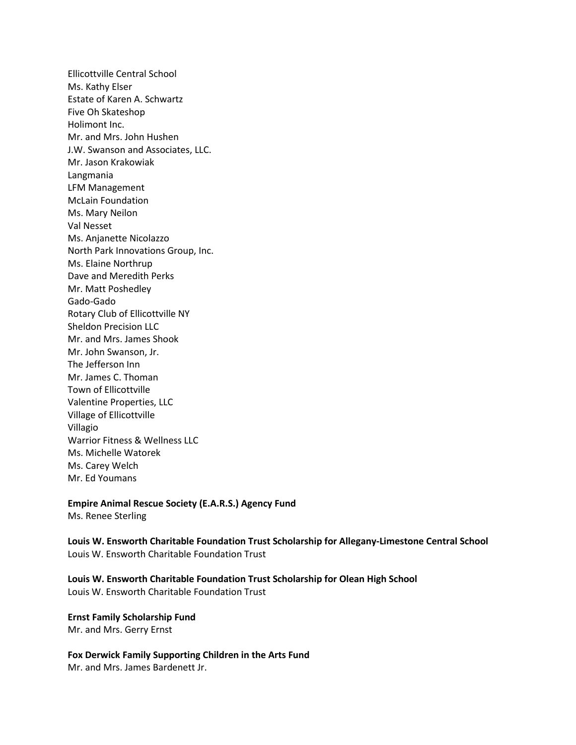Ellicottville Central School Ms. Kathy Elser Estate of Karen A. Schwartz Five Oh Skateshop Holimont Inc. Mr. and Mrs. John Hushen J.W. Swanson and Associates, LLC. Mr. Jason Krakowiak Langmania LFM Management McLain Foundation Ms. Mary Neilon Val Nesset Ms. Anjanette Nicolazzo North Park Innovations Group, Inc. Ms. Elaine Northrup Dave and Meredith Perks Mr. Matt Poshedley Gado-Gado Rotary Club of Ellicottville NY Sheldon Precision LLC Mr. and Mrs. James Shook Mr. John Swanson, Jr. The Jefferson Inn Mr. James C. Thoman Town of Ellicottville Valentine Properties, LLC Village of Ellicottville Villagio Warrior Fitness & Wellness LLC Ms. Michelle Watorek Ms. Carey Welch Mr. Ed Youmans

**Empire Animal Rescue Society (E.A.R.S.) Agency Fund** Ms. Renee Sterling

**Louis W. Ensworth Charitable Foundation Trust Scholarship for Allegany-Limestone Central School** Louis W. Ensworth Charitable Foundation Trust

**Louis W. Ensworth Charitable Foundation Trust Scholarship for Olean High School** Louis W. Ensworth Charitable Foundation Trust

**Ernst Family Scholarship Fund** Mr. and Mrs. Gerry Ernst

**Fox Derwick Family Supporting Children in the Arts Fund** Mr. and Mrs. James Bardenett Jr.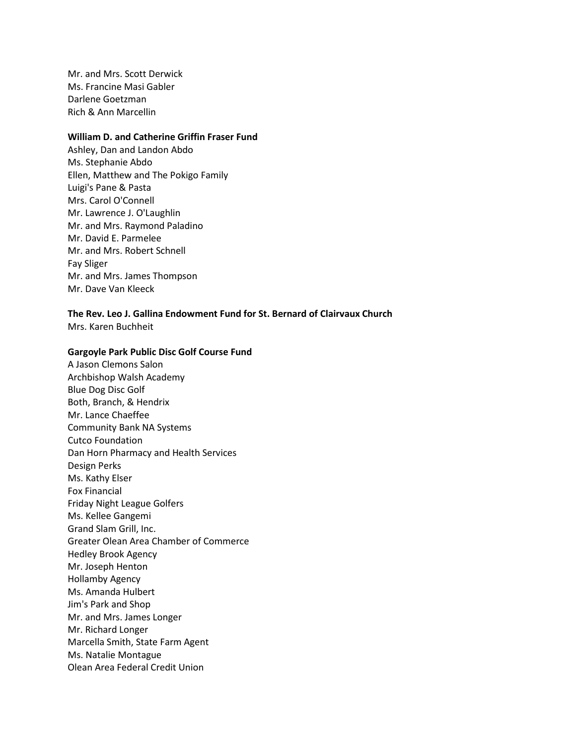Mr. and Mrs. Scott Derwick Ms. Francine Masi Gabler Darlene Goetzman Rich & Ann Marcellin

#### **William D. and Catherine Griffin Fraser Fund**

Ashley, Dan and Landon Abdo Ms. Stephanie Abdo Ellen, Matthew and The Pokigo Family Luigi's Pane & Pasta Mrs. Carol O'Connell Mr. Lawrence J. O'Laughlin Mr. and Mrs. Raymond Paladino Mr. David E. Parmelee Mr. and Mrs. Robert Schnell Fay Sliger Mr. and Mrs. James Thompson Mr. Dave Van Kleeck

**The Rev. Leo J. Gallina Endowment Fund for St. Bernard of Clairvaux Church** Mrs. Karen Buchheit

# **Gargoyle Park Public Disc Golf Course Fund**

A Jason Clemons Salon Archbishop Walsh Academy Blue Dog Disc Golf Both, Branch, & Hendrix Mr. Lance Chaeffee Community Bank NA Systems Cutco Foundation Dan Horn Pharmacy and Health Services Design Perks Ms. Kathy Elser Fox Financial Friday Night League Golfers Ms. Kellee Gangemi Grand Slam Grill, Inc. Greater Olean Area Chamber of Commerce Hedley Brook Agency Mr. Joseph Henton Hollamby Agency Ms. Amanda Hulbert Jim's Park and Shop Mr. and Mrs. James Longer Mr. Richard Longer Marcella Smith, State Farm Agent Ms. Natalie Montague Olean Area Federal Credit Union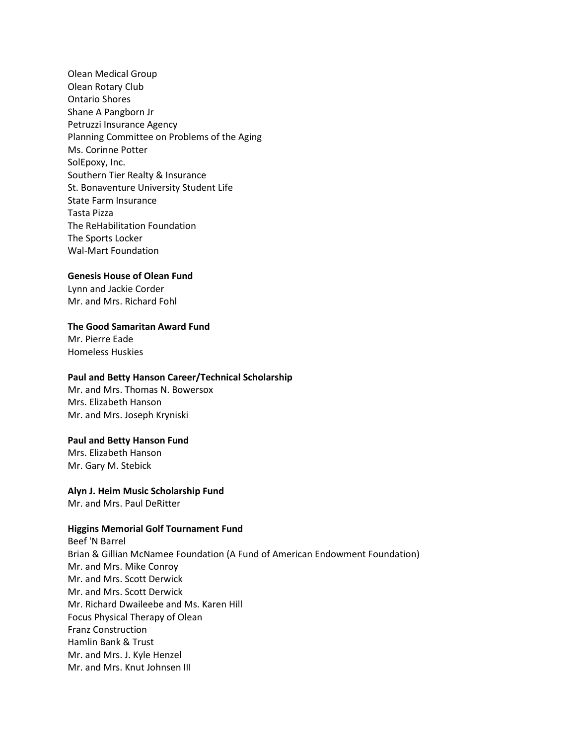Olean Medical Group Olean Rotary Club Ontario Shores Shane A Pangborn Jr Petruzzi Insurance Agency Planning Committee on Problems of the Aging Ms. Corinne Potter SolEpoxy, Inc. Southern Tier Realty & Insurance St. Bonaventure University Student Life State Farm Insurance Tasta Pizza The ReHabilitation Foundation The Sports Locker Wal-Mart Foundation

## **Genesis House of Olean Fund**

Lynn and Jackie Corder Mr. and Mrs. Richard Fohl

## **The Good Samaritan Award Fund**

Mr. Pierre Eade Homeless Huskies

#### **Paul and Betty Hanson Career/Technical Scholarship**

Mr. and Mrs. Thomas N. Bowersox Mrs. Elizabeth Hanson Mr. and Mrs. Joseph Kryniski

#### **Paul and Betty Hanson Fund**

Mrs. Elizabeth Hanson Mr. Gary M. Stebick

## **Alyn J. Heim Music Scholarship Fund**

Mr. and Mrs. Paul DeRitter

## **Higgins Memorial Golf Tournament Fund**

Beef 'N Barrel Brian & Gillian McNamee Foundation (A Fund of American Endowment Foundation) Mr. and Mrs. Mike Conroy Mr. and Mrs. Scott Derwick Mr. and Mrs. Scott Derwick Mr. Richard Dwaileebe and Ms. Karen Hill Focus Physical Therapy of Olean Franz Construction Hamlin Bank & Trust Mr. and Mrs. J. Kyle Henzel Mr. and Mrs. Knut Johnsen III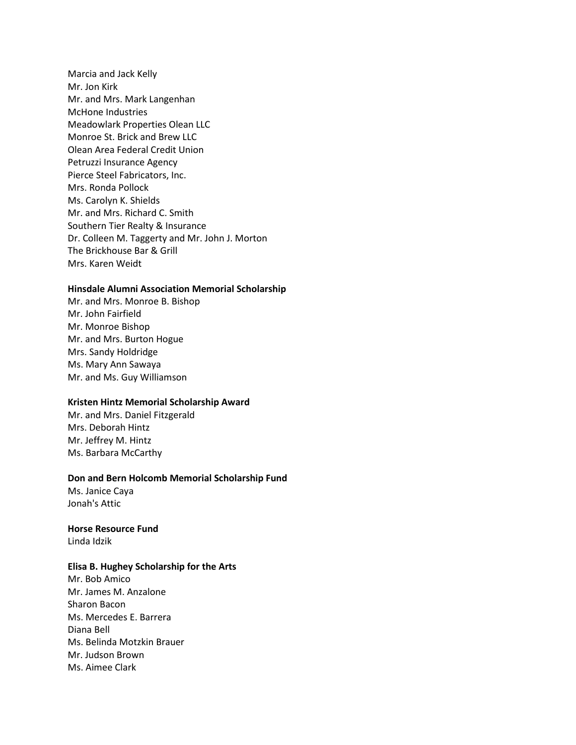Marcia and Jack Kelly Mr. Jon Kirk Mr. and Mrs. Mark Langenhan McHone Industries Meadowlark Properties Olean LLC Monroe St. Brick and Brew LLC Olean Area Federal Credit Union Petruzzi Insurance Agency Pierce Steel Fabricators, Inc. Mrs. Ronda Pollock Ms. Carolyn K. Shields Mr. and Mrs. Richard C. Smith Southern Tier Realty & Insurance Dr. Colleen M. Taggerty and Mr. John J. Morton The Brickhouse Bar & Grill Mrs. Karen Weidt

## **Hinsdale Alumni Association Memorial Scholarship**

Mr. and Mrs. Monroe B. Bishop Mr. John Fairfield Mr. Monroe Bishop Mr. and Mrs. Burton Hogue Mrs. Sandy Holdridge Ms. Mary Ann Sawaya Mr. and Ms. Guy Williamson

## **Kristen Hintz Memorial Scholarship Award**

Mr. and Mrs. Daniel Fitzgerald Mrs. Deborah Hintz Mr. Jeffrey M. Hintz Ms. Barbara McCarthy

#### **Don and Bern Holcomb Memorial Scholarship Fund**

Ms. Janice Caya Jonah's Attic

#### **Horse Resource Fund**

Linda Idzik

#### **Elisa B. Hughey Scholarship for the Arts**

Mr. Bob Amico Mr. James M. Anzalone Sharon Bacon Ms. Mercedes E. Barrera Diana Bell Ms. Belinda Motzkin Brauer Mr. Judson Brown Ms. Aimee Clark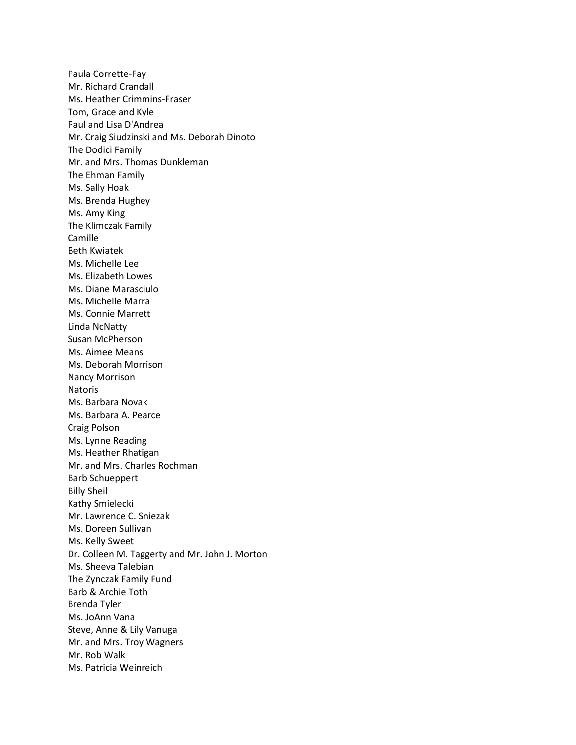Paula Corrette-Fay Mr. Richard Crandall Ms. Heather Crimmins-Fraser Tom, Grace and Kyle Paul and Lisa D'Andrea Mr. Craig Siudzinski and Ms. Deborah Dinoto The Dodici Family Mr. and Mrs. Thomas Dunkleman The Ehman Family Ms. Sally Hoak Ms. Brenda Hughey Ms. Amy King The Klimczak Family Camille Beth Kwiatek Ms. Michelle Lee Ms. Elizabeth Lowes Ms. Diane Marasciulo Ms. Michelle Marra Ms. Connie Marrett Linda NcNatty Susan McPherson Ms. Aimee Means Ms. Deborah Morrison Nancy Morrison Natoris Ms. Barbara Novak Ms. Barbara A. Pearce Craig Polson Ms. Lynne Reading Ms. Heather Rhatigan Mr. and Mrs. Charles Rochman Barb Schueppert Billy Sheil Kathy Smielecki Mr. Lawrence C. Sniezak Ms. Doreen Sullivan Ms. Kelly Sweet Dr. Colleen M. Taggerty and Mr. John J. Morton Ms. Sheeva Talebian The Zynczak Family Fund Barb & Archie Toth Brenda Tyler Ms. JoAnn Vana Steve, Anne & Lily Vanuga Mr. and Mrs. Troy Wagners Mr. Rob Walk Ms. Patricia Weinreich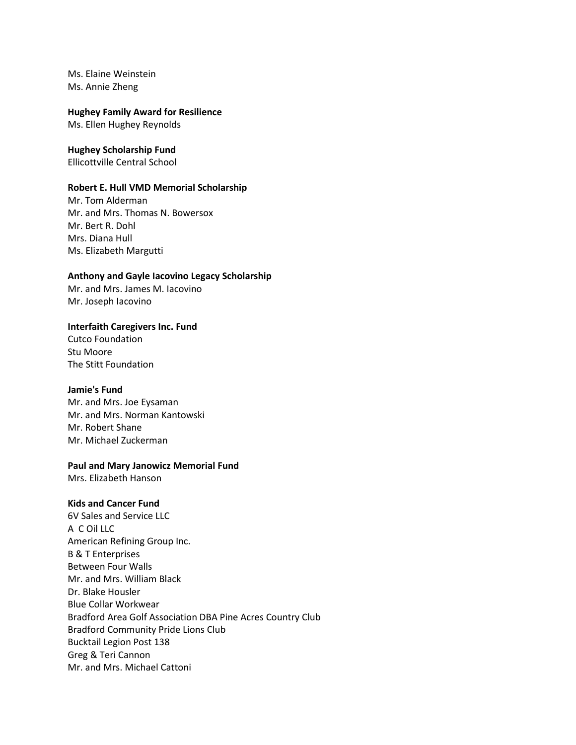Ms. Elaine Weinstein Ms. Annie Zheng

#### **Hughey Family Award for Resilience**

Ms. Ellen Hughey Reynolds

# **Hughey Scholarship Fund**

Ellicottville Central School

#### **Robert E. Hull VMD Memorial Scholarship**

Mr. Tom Alderman Mr. and Mrs. Thomas N. Bowersox Mr. Bert R. Dohl Mrs. Diana Hull Ms. Elizabeth Margutti

## **Anthony and Gayle Iacovino Legacy Scholarship**

Mr. and Mrs. James M. Iacovino Mr. Joseph Iacovino

# **Interfaith Caregivers Inc. Fund**

Cutco Foundation Stu Moore The Stitt Foundation

#### **Jamie's Fund**

Mr. and Mrs. Joe Eysaman Mr. and Mrs. Norman Kantowski Mr. Robert Shane Mr. Michael Zuckerman

# **Paul and Mary Janowicz Memorial Fund**

Mrs. Elizabeth Hanson

# **Kids and Cancer Fund**

6V Sales and Service LLC A C Oil LLC American Refining Group Inc. B & T Enterprises Between Four Walls Mr. and Mrs. William Black Dr. Blake Housler Blue Collar Workwear Bradford Area Golf Association DBA Pine Acres Country Club Bradford Community Pride Lions Club Bucktail Legion Post 138 Greg & Teri Cannon Mr. and Mrs. Michael Cattoni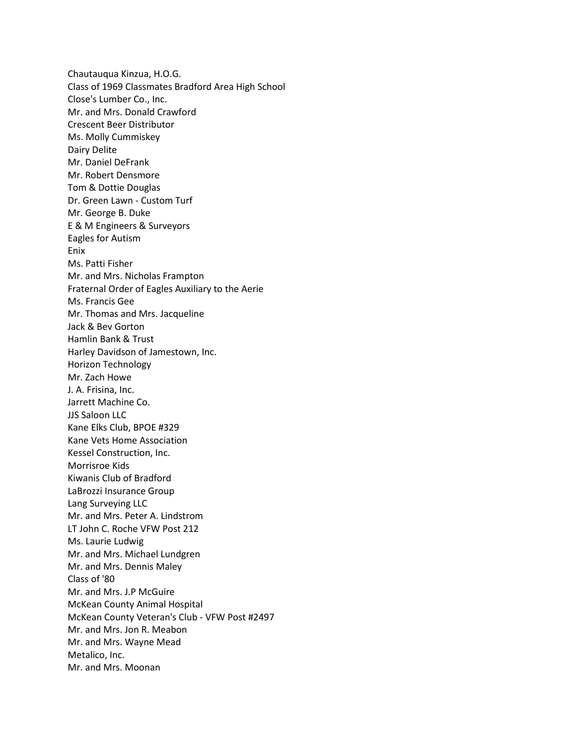Chautauqua Kinzua, H.O.G. Class of 1969 Classmates Bradford Area High School Close's Lumber Co., Inc. Mr. and Mrs. Donald Crawford Crescent Beer Distributor Ms. Molly Cummiskey Dairy Delite Mr. Daniel DeFrank Mr. Robert Densmore Tom & Dottie Douglas Dr. Green Lawn - Custom Turf Mr. George B. Duke E & M Engineers & Surveyors Eagles for Autism Enix Ms. Patti Fisher Mr. and Mrs. Nicholas Frampton Fraternal Order of Eagles Auxiliary to the Aerie Ms. Francis Gee Mr. Thomas and Mrs. Jacqueline Jack & Bev Gorton Hamlin Bank & Trust Harley Davidson of Jamestown, Inc. Horizon Technology Mr. Zach Howe J. A. Frisina, Inc. Jarrett Machine Co. JJS Saloon LLC Kane Elks Club, BPOE #329 Kane Vets Home Association Kessel Construction, Inc. Morrisroe Kids Kiwanis Club of Bradford LaBrozzi Insurance Group Lang Surveying LLC Mr. and Mrs. Peter A. Lindstrom LT John C. Roche VFW Post 212 Ms. Laurie Ludwig Mr. and Mrs. Michael Lundgren Mr. and Mrs. Dennis Maley Class of '80 Mr. and Mrs. J.P McGuire McKean County Animal Hospital McKean County Veteran's Club - VFW Post #2497 Mr. and Mrs. Jon R. Meabon Mr. and Mrs. Wayne Mead Metalico, Inc. Mr. and Mrs. Moonan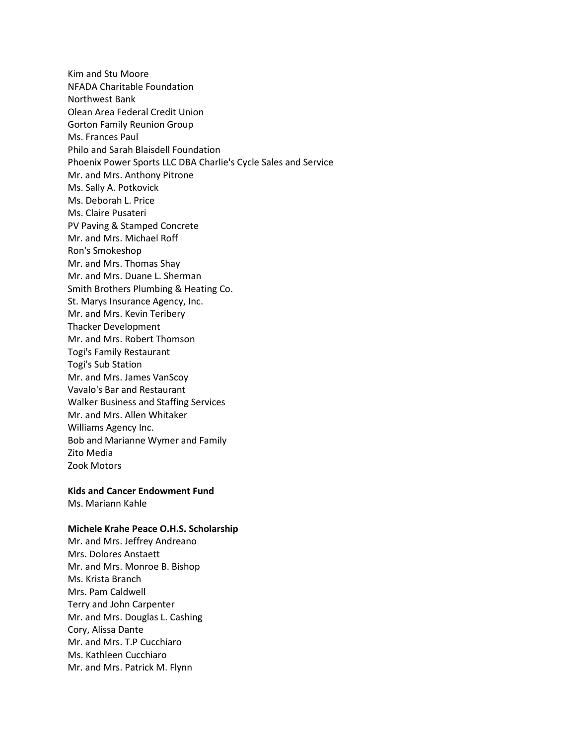Kim and Stu Moore NFADA Charitable Foundation Northwest Bank Olean Area Federal Credit Union Gorton Family Reunion Group Ms. Frances Paul Philo and Sarah Blaisdell Foundation Phoenix Power Sports LLC DBA Charlie's Cycle Sales and Service Mr. and Mrs. Anthony Pitrone Ms. Sally A. Potkovick Ms. Deborah L. Price Ms. Claire Pusateri PV Paving & Stamped Concrete Mr. and Mrs. Michael Roff Ron's Smokeshop Mr. and Mrs. Thomas Shay Mr. and Mrs. Duane L. Sherman Smith Brothers Plumbing & Heating Co. St. Marys Insurance Agency, Inc. Mr. and Mrs. Kevin Teribery Thacker Development Mr. and Mrs. Robert Thomson Togi's Family Restaurant Togi's Sub Station Mr. and Mrs. James VanScoy Vavalo's Bar and Restaurant Walker Business and Staffing Services Mr. and Mrs. Allen Whitaker Williams Agency Inc. Bob and Marianne Wymer and Family Zito Media Zook Motors

#### **Kids and Cancer Endowment Fund**

Ms. Mariann Kahle

#### **Michele Krahe Peace O.H.S. Scholarship**

Mr. and Mrs. Jeffrey Andreano Mrs. Dolores Anstaett Mr. and Mrs. Monroe B. Bishop Ms. Krista Branch Mrs. Pam Caldwell Terry and John Carpenter Mr. and Mrs. Douglas L. Cashing Cory, Alissa Dante Mr. and Mrs. T.P Cucchiaro Ms. Kathleen Cucchiaro Mr. and Mrs. Patrick M. Flynn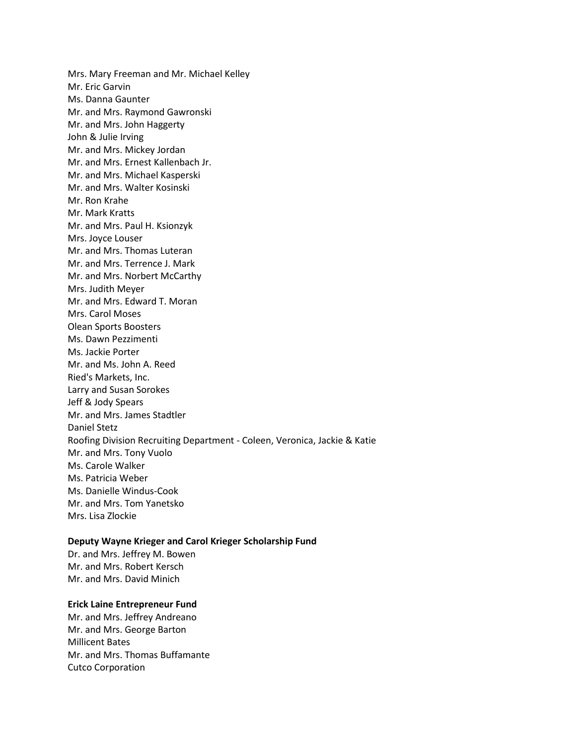Mrs. Mary Freeman and Mr. Michael Kelley Mr. Eric Garvin Ms. Danna Gaunter Mr. and Mrs. Raymond Gawronski Mr. and Mrs. John Haggerty John & Julie Irving Mr. and Mrs. Mickey Jordan Mr. and Mrs. Ernest Kallenbach Jr. Mr. and Mrs. Michael Kasperski Mr. and Mrs. Walter Kosinski Mr. Ron Krahe Mr. Mark Kratts Mr. and Mrs. Paul H. Ksionzyk Mrs. Joyce Louser Mr. and Mrs. Thomas Luteran Mr. and Mrs. Terrence J. Mark Mr. and Mrs. Norbert McCarthy Mrs. Judith Meyer Mr. and Mrs. Edward T. Moran Mrs. Carol Moses Olean Sports Boosters Ms. Dawn Pezzimenti Ms. Jackie Porter Mr. and Ms. John A. Reed Ried's Markets, Inc. Larry and Susan Sorokes Jeff & Jody Spears Mr. and Mrs. James Stadtler Daniel Stetz Roofing Division Recruiting Department - Coleen, Veronica, Jackie & Katie Mr. and Mrs. Tony Vuolo Ms. Carole Walker Ms. Patricia Weber Ms. Danielle Windus-Cook Mr. and Mrs. Tom Yanetsko Mrs. Lisa Zlockie

#### **Deputy Wayne Krieger and Carol Krieger Scholarship Fund**

Dr. and Mrs. Jeffrey M. Bowen Mr. and Mrs. Robert Kersch Mr. and Mrs. David Minich

# **Erick Laine Entrepreneur Fund**

Mr. and Mrs. Jeffrey Andreano Mr. and Mrs. George Barton Millicent Bates Mr. and Mrs. Thomas Buffamante Cutco Corporation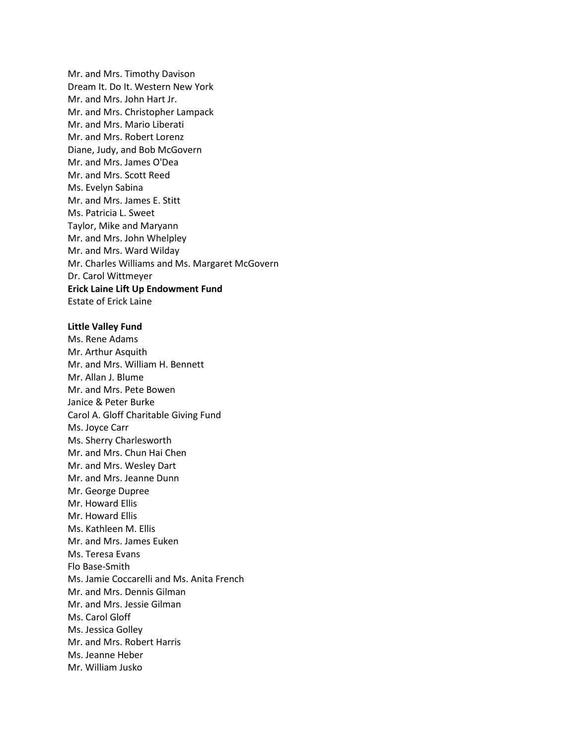Mr. and Mrs. Timothy Davison Dream It. Do It. Western New York Mr. and Mrs. John Hart Jr. Mr. and Mrs. Christopher Lampack Mr. and Mrs. Mario Liberati Mr. and Mrs. Robert Lorenz Diane, Judy, and Bob McGovern Mr. and Mrs. James O'Dea Mr. and Mrs. Scott Reed Ms. Evelyn Sabina Mr. and Mrs. James E. Stitt Ms. Patricia L. Sweet Taylor, Mike and Maryann Mr. and Mrs. John Whelpley Mr. and Mrs. Ward Wilday Mr. Charles Williams and Ms. Margaret McGovern Dr. Carol Wittmeyer **Erick Laine Lift Up Endowment Fund** Estate of Erick Laine

#### **Little Valley Fund**

Ms. Rene Adams Mr. Arthur Asquith Mr. and Mrs. William H. Bennett Mr. Allan J. Blume Mr. and Mrs. Pete Bowen Janice & Peter Burke Carol A. Gloff Charitable Giving Fund Ms. Joyce Carr Ms. Sherry Charlesworth Mr. and Mrs. Chun Hai Chen Mr. and Mrs. Wesley Dart Mr. and Mrs. Jeanne Dunn Mr. George Dupree Mr. Howard Ellis Mr. Howard Ellis Ms. Kathleen M. Ellis Mr. and Mrs. James Euken Ms. Teresa Evans Flo Base-Smith Ms. Jamie Coccarelli and Ms. Anita French Mr. and Mrs. Dennis Gilman Mr. and Mrs. Jessie Gilman Ms. Carol Gloff Ms. Jessica Golley Mr. and Mrs. Robert Harris Ms. Jeanne Heber Mr. William Jusko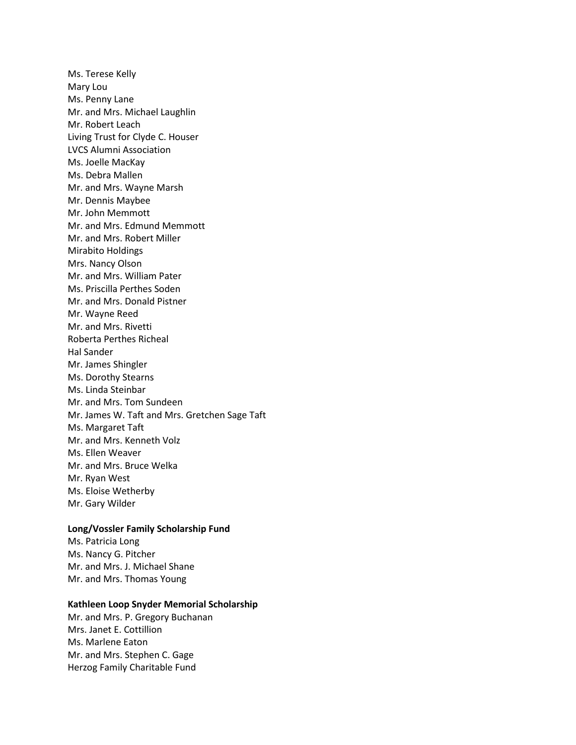Ms. Terese Kelly Mary Lou Ms. Penny Lane Mr. and Mrs. Michael Laughlin Mr. Robert Leach Living Trust for Clyde C. Houser LVCS Alumni Association Ms. Joelle MacKay Ms. Debra Mallen Mr. and Mrs. Wayne Marsh Mr. Dennis Maybee Mr. John Memmott Mr. and Mrs. Edmund Memmott Mr. and Mrs. Robert Miller Mirabito Holdings Mrs. Nancy Olson Mr. and Mrs. William Pater Ms. Priscilla Perthes Soden Mr. and Mrs. Donald Pistner Mr. Wayne Reed Mr. and Mrs. Rivetti Roberta Perthes Richeal Hal Sander Mr. James Shingler Ms. Dorothy Stearns Ms. Linda Steinbar Mr. and Mrs. Tom Sundeen Mr. James W. Taft and Mrs. Gretchen Sage Taft Ms. Margaret Taft Mr. and Mrs. Kenneth Volz Ms. Ellen Weaver Mr. and Mrs. Bruce Welka Mr. Ryan West Ms. Eloise Wetherby Mr. Gary Wilder

## **Long/Vossler Family Scholarship Fund**

Ms. Patricia Long Ms. Nancy G. Pitcher Mr. and Mrs. J. Michael Shane Mr. and Mrs. Thomas Young

# **Kathleen Loop Snyder Memorial Scholarship**

Mr. and Mrs. P. Gregory Buchanan Mrs. Janet E. Cottillion Ms. Marlene Eaton Mr. and Mrs. Stephen C. Gage Herzog Family Charitable Fund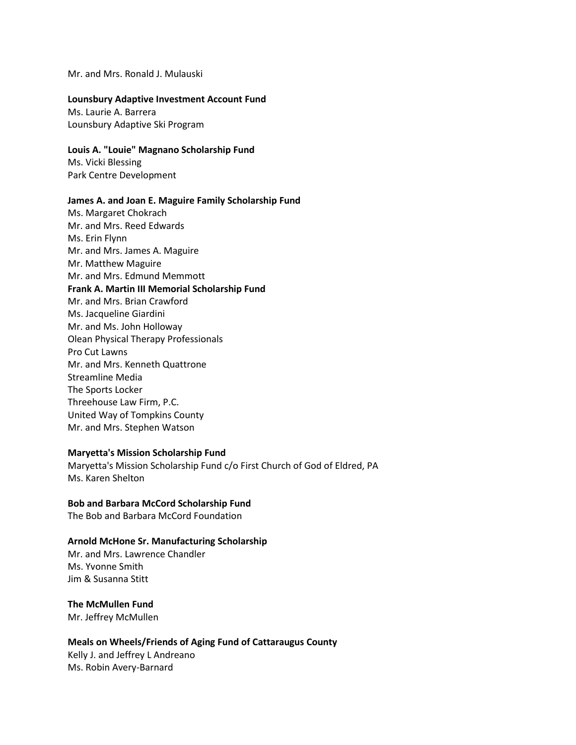Mr. and Mrs. Ronald J. Mulauski

#### **Lounsbury Adaptive Investment Account Fund**

Ms. Laurie A. Barrera Lounsbury Adaptive Ski Program

# **Louis A. "Louie" Magnano Scholarship Fund**

Ms. Vicki Blessing Park Centre Development

#### **James A. and Joan E. Maguire Family Scholarship Fund**

Ms. Margaret Chokrach Mr. and Mrs. Reed Edwards Ms. Erin Flynn Mr. and Mrs. James A. Maguire Mr. Matthew Maguire Mr. and Mrs. Edmund Memmott **Frank A. Martin III Memorial Scholarship Fund** Mr. and Mrs. Brian Crawford Ms. Jacqueline Giardini Mr. and Ms. John Holloway Olean Physical Therapy Professionals Pro Cut Lawns Mr. and Mrs. Kenneth Quattrone Streamline Media The Sports Locker Threehouse Law Firm, P.C. United Way of Tompkins County Mr. and Mrs. Stephen Watson

#### **Maryetta's Mission Scholarship Fund**

Maryetta's Mission Scholarship Fund c/o First Church of God of Eldred, PA Ms. Karen Shelton

## **Bob and Barbara McCord Scholarship Fund**

The Bob and Barbara McCord Foundation

## **Arnold McHone Sr. Manufacturing Scholarship**

Mr. and Mrs. Lawrence Chandler Ms. Yvonne Smith Jim & Susanna Stitt

**The McMullen Fund** Mr. Jeffrey McMullen

# **Meals on Wheels/Friends of Aging Fund of Cattaraugus County** Kelly J. and Jeffrey L Andreano

Ms. Robin Avery-Barnard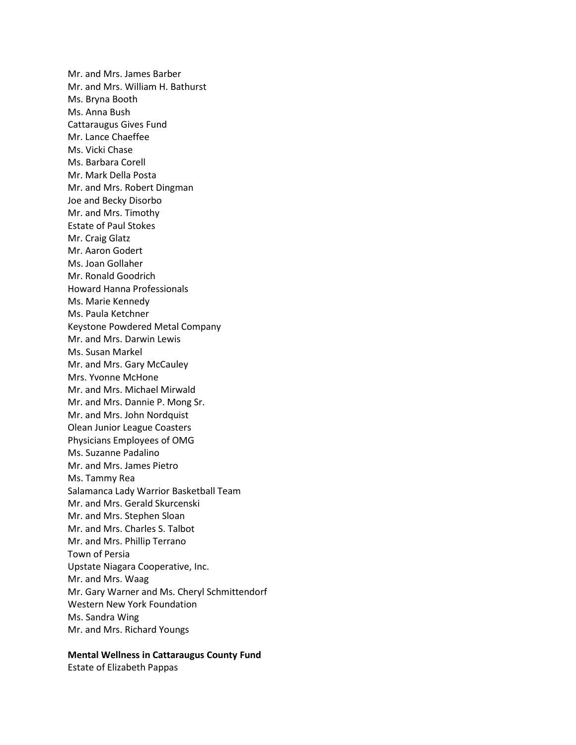Mr. and Mrs. James Barber Mr. and Mrs. William H. Bathurst Ms. Bryna Booth Ms. Anna Bush Cattaraugus Gives Fund Mr. Lance Chaeffee Ms. Vicki Chase Ms. Barbara Corell Mr. Mark Della Posta Mr. and Mrs. Robert Dingman Joe and Becky Disorbo Mr. and Mrs. Timothy Estate of Paul Stokes Mr. Craig Glatz Mr. Aaron Godert Ms. Joan Gollaher Mr. Ronald Goodrich Howard Hanna Professionals Ms. Marie Kennedy Ms. Paula Ketchner Keystone Powdered Metal Company Mr. and Mrs. Darwin Lewis Ms. Susan Markel Mr. and Mrs. Gary McCauley Mrs. Yvonne McHone Mr. and Mrs. Michael Mirwald Mr. and Mrs. Dannie P. Mong Sr. Mr. and Mrs. John Nordquist Olean Junior League Coasters Physicians Employees of OMG Ms. Suzanne Padalino Mr. and Mrs. James Pietro Ms. Tammy Rea Salamanca Lady Warrior Basketball Team Mr. and Mrs. Gerald Skurcenski Mr. and Mrs. Stephen Sloan Mr. and Mrs. Charles S. Talbot Mr. and Mrs. Phillip Terrano Town of Persia Upstate Niagara Cooperative, Inc. Mr. and Mrs. Waag Mr. Gary Warner and Ms. Cheryl Schmittendorf Western New York Foundation Ms. Sandra Wing Mr. and Mrs. Richard Youngs

## **Mental Wellness in Cattaraugus County Fund**

Estate of Elizabeth Pappas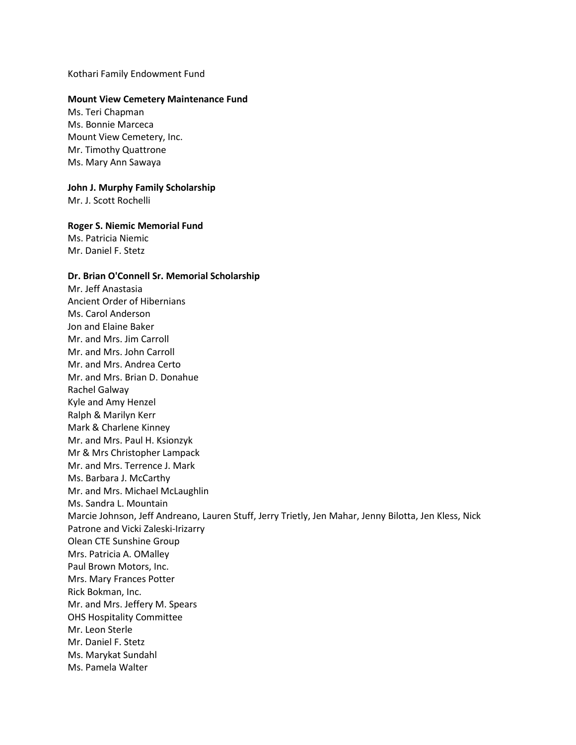Kothari Family Endowment Fund

#### **Mount View Cemetery Maintenance Fund**

Ms. Teri Chapman Ms. Bonnie Marceca Mount View Cemetery, Inc. Mr. Timothy Quattrone Ms. Mary Ann Sawaya

# **John J. Murphy Family Scholarship**

Mr. J. Scott Rochelli

#### **Roger S. Niemic Memorial Fund**

Ms. Patricia Niemic Mr. Daniel F. Stetz

#### **Dr. Brian O'Connell Sr. Memorial Scholarship**

Mr. Jeff Anastasia Ancient Order of Hibernians Ms. Carol Anderson Jon and Elaine Baker Mr. and Mrs. Jim Carroll Mr. and Mrs. John Carroll Mr. and Mrs. Andrea Certo Mr. and Mrs. Brian D. Donahue Rachel Galway Kyle and Amy Henzel Ralph & Marilyn Kerr Mark & Charlene Kinney Mr. and Mrs. Paul H. Ksionzyk Mr & Mrs Christopher Lampack Mr. and Mrs. Terrence J. Mark Ms. Barbara J. McCarthy Mr. and Mrs. Michael McLaughlin Ms. Sandra L. Mountain Marcie Johnson, Jeff Andreano, Lauren Stuff, Jerry Trietly, Jen Mahar, Jenny Bilotta, Jen Kless, Nick Patrone and Vicki Zaleski-Irizarry Olean CTE Sunshine Group Mrs. Patricia A. OMalley Paul Brown Motors, Inc. Mrs. Mary Frances Potter Rick Bokman, Inc. Mr. and Mrs. Jeffery M. Spears OHS Hospitality Committee Mr. Leon Sterle Mr. Daniel F. Stetz Ms. Marykat Sundahl Ms. Pamela Walter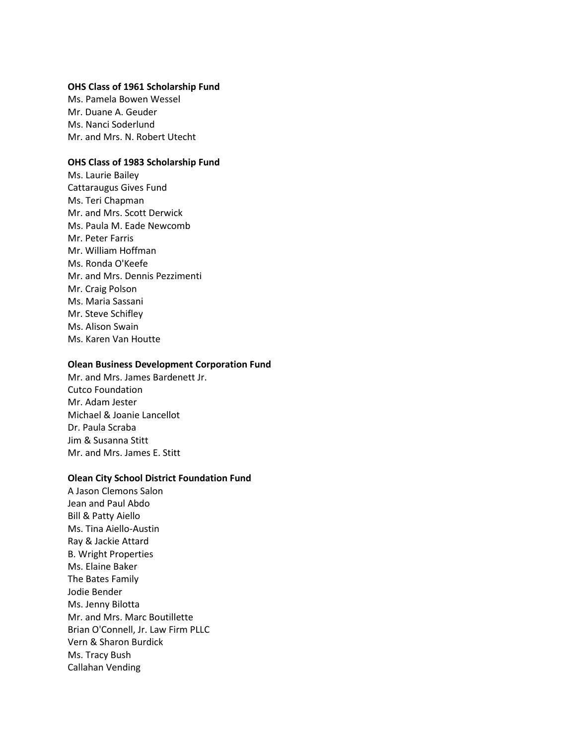## **OHS Class of 1961 Scholarship Fund**

Ms. Pamela Bowen Wessel Mr. Duane A. Geuder Ms. Nanci Soderlund Mr. and Mrs. N. Robert Utecht

# **OHS Class of 1983 Scholarship Fund**

Ms. Laurie Bailey Cattaraugus Gives Fund Ms. Teri Chapman Mr. and Mrs. Scott Derwick Ms. Paula M. Eade Newcomb Mr. Peter Farris Mr. William Hoffman Ms. Ronda O'Keefe Mr. and Mrs. Dennis Pezzimenti Mr. Craig Polson Ms. Maria Sassani Mr. Steve Schifley Ms. Alison Swain Ms. Karen Van Houtte

## **Olean Business Development Corporation Fund**

Mr. and Mrs. James Bardenett Jr. Cutco Foundation Mr. Adam Jester Michael & Joanie Lancellot Dr. Paula Scraba Jim & Susanna Stitt Mr. and Mrs. James E. Stitt

#### **Olean City School District Foundation Fund**

A Jason Clemons Salon Jean and Paul Abdo Bill & Patty Aiello Ms. Tina Aiello-Austin Ray & Jackie Attard B. Wright Properties Ms. Elaine Baker The Bates Family Jodie Bender Ms. Jenny Bilotta Mr. and Mrs. Marc Boutillette Brian O'Connell, Jr. Law Firm PLLC Vern & Sharon Burdick Ms. Tracy Bush Callahan Vending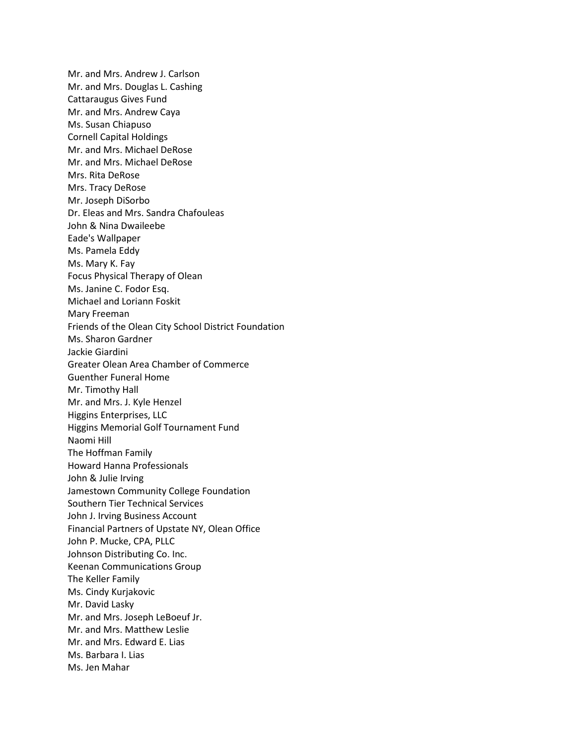Mr. and Mrs. Andrew J. Carlson Mr. and Mrs. Douglas L. Cashing Cattaraugus Gives Fund Mr. and Mrs. Andrew Caya Ms. Susan Chiapuso Cornell Capital Holdings Mr. and Mrs. Michael DeRose Mr. and Mrs. Michael DeRose Mrs. Rita DeRose Mrs. Tracy DeRose Mr. Joseph DiSorbo Dr. Eleas and Mrs. Sandra Chafouleas John & Nina Dwaileebe Eade's Wallpaper Ms. Pamela Eddy Ms. Mary K. Fay Focus Physical Therapy of Olean Ms. Janine C. Fodor Esq. Michael and Loriann Foskit Mary Freeman Friends of the Olean City School District Foundation Ms. Sharon Gardner Jackie Giardini Greater Olean Area Chamber of Commerce Guenther Funeral Home Mr. Timothy Hall Mr. and Mrs. J. Kyle Henzel Higgins Enterprises, LLC Higgins Memorial Golf Tournament Fund Naomi Hill The Hoffman Family Howard Hanna Professionals John & Julie Irving Jamestown Community College Foundation Southern Tier Technical Services John J. Irving Business Account Financial Partners of Upstate NY, Olean Office John P. Mucke, CPA, PLLC Johnson Distributing Co. Inc. Keenan Communications Group The Keller Family Ms. Cindy Kurjakovic Mr. David Lasky Mr. and Mrs. Joseph LeBoeuf Jr. Mr. and Mrs. Matthew Leslie Mr. and Mrs. Edward E. Lias Ms. Barbara I. Lias Ms. Jen Mahar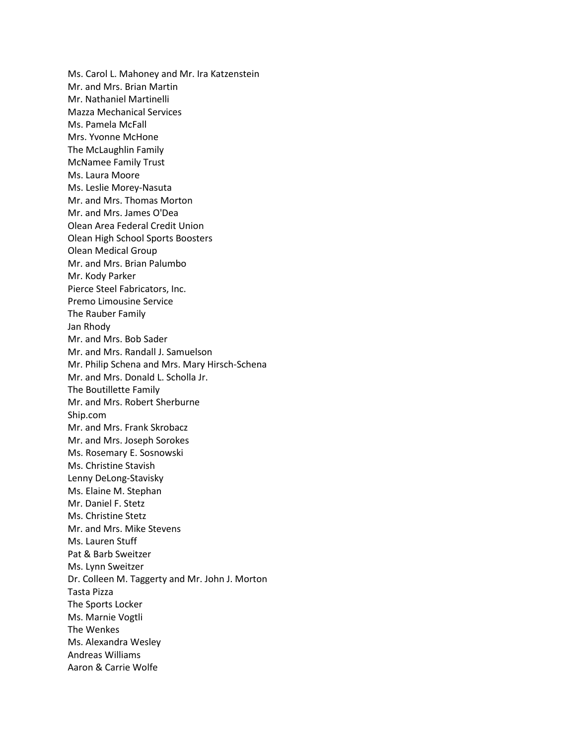Ms. Carol L. Mahoney and Mr. Ira Katzenstein Mr. and Mrs. Brian Martin Mr. Nathaniel Martinelli Mazza Mechanical Services Ms. Pamela McFall Mrs. Yvonne McHone The McLaughlin Family McNamee Family Trust Ms. Laura Moore Ms. Leslie Morey-Nasuta Mr. and Mrs. Thomas Morton Mr. and Mrs. James O'Dea Olean Area Federal Credit Union Olean High School Sports Boosters Olean Medical Group Mr. and Mrs. Brian Palumbo Mr. Kody Parker Pierce Steel Fabricators, Inc. Premo Limousine Service The Rauber Family Jan Rhody Mr. and Mrs. Bob Sader Mr. and Mrs. Randall J. Samuelson Mr. Philip Schena and Mrs. Mary Hirsch-Schena Mr. and Mrs. Donald L. Scholla Jr. The Boutillette Family Mr. and Mrs. Robert Sherburne Ship.com Mr. and Mrs. Frank Skrobacz Mr. and Mrs. Joseph Sorokes Ms. Rosemary E. Sosnowski Ms. Christine Stavish Lenny DeLong-Stavisky Ms. Elaine M. Stephan Mr. Daniel F. Stetz Ms. Christine Stetz Mr. and Mrs. Mike Stevens Ms. Lauren Stuff Pat & Barb Sweitzer Ms. Lynn Sweitzer Dr. Colleen M. Taggerty and Mr. John J. Morton Tasta Pizza The Sports Locker Ms. Marnie Vogtli The Wenkes Ms. Alexandra Wesley Andreas Williams Aaron & Carrie Wolfe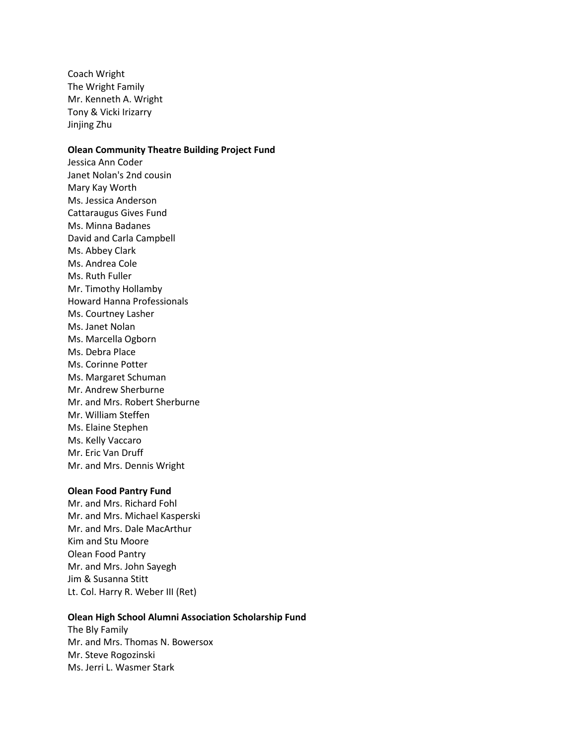Coach Wright The Wright Family Mr. Kenneth A. Wright Tony & Vicki Irizarry Jinjing Zhu

# **Olean Community Theatre Building Project Fund**

Jessica Ann Coder Janet Nolan's 2nd cousin Mary Kay Worth Ms. Jessica Anderson Cattaraugus Gives Fund Ms. Minna Badanes David and Carla Campbell Ms. Abbey Clark Ms. Andrea Cole Ms. Ruth Fuller Mr. Timothy Hollamby Howard Hanna Professionals Ms. Courtney Lasher Ms. Janet Nolan Ms. Marcella Ogborn Ms. Debra Place Ms. Corinne Potter Ms. Margaret Schuman Mr. Andrew Sherburne Mr. and Mrs. Robert Sherburne Mr. William Steffen Ms. Elaine Stephen Ms. Kelly Vaccaro Mr. Eric Van Druff Mr. and Mrs. Dennis Wright

#### **Olean Food Pantry Fund**

Mr. and Mrs. Richard Fohl Mr. and Mrs. Michael Kasperski Mr. and Mrs. Dale MacArthur Kim and Stu Moore Olean Food Pantry Mr. and Mrs. John Sayegh Jim & Susanna Stitt Lt. Col. Harry R. Weber III (Ret)

# **Olean High School Alumni Association Scholarship Fund**

The Bly Family Mr. and Mrs. Thomas N. Bowersox Mr. Steve Rogozinski Ms. Jerri L. Wasmer Stark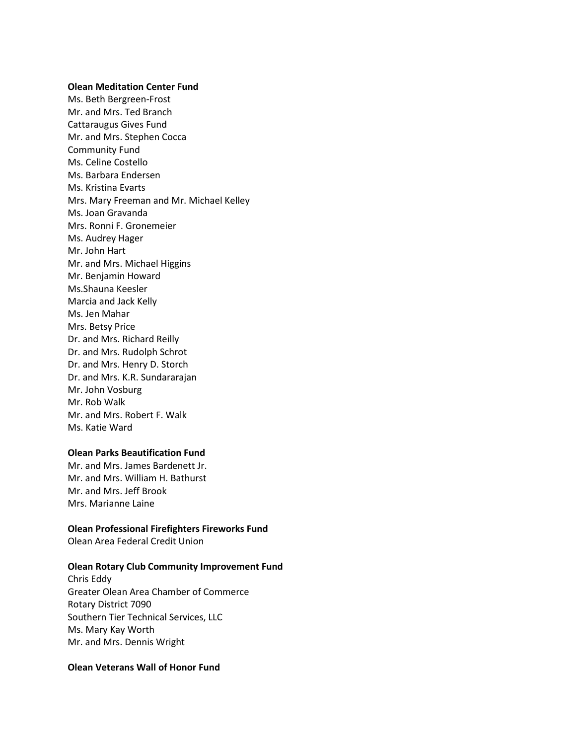#### **Olean Meditation Center Fund**

Ms. Beth Bergreen-Frost Mr. and Mrs. Ted Branch Cattaraugus Gives Fund Mr. and Mrs. Stephen Cocca Community Fund Ms. Celine Costello Ms. Barbara Endersen Ms. Kristina Evarts Mrs. Mary Freeman and Mr. Michael Kelley Ms. Joan Gravanda Mrs. Ronni F. Gronemeier Ms. Audrey Hager Mr. John Hart Mr. and Mrs. Michael Higgins Mr. Benjamin Howard Ms.Shauna Keesler Marcia and Jack Kelly Ms. Jen Mahar Mrs. Betsy Price Dr. and Mrs. Richard Reilly Dr. and Mrs. Rudolph Schrot Dr. and Mrs. Henry D. Storch Dr. and Mrs. K.R. Sundararajan Mr. John Vosburg Mr. Rob Walk Mr. and Mrs. Robert F. Walk Ms. Katie Ward

#### **Olean Parks Beautification Fund**

Mr. and Mrs. James Bardenett Jr. Mr. and Mrs. William H. Bathurst Mr. and Mrs. Jeff Brook Mrs. Marianne Laine

#### **Olean Professional Firefighters Fireworks Fund**

Olean Area Federal Credit Union

#### **Olean Rotary Club Community Improvement Fund**

Chris Eddy Greater Olean Area Chamber of Commerce Rotary District 7090 Southern Tier Technical Services, LLC Ms. Mary Kay Worth Mr. and Mrs. Dennis Wright

# **Olean Veterans Wall of Honor Fund**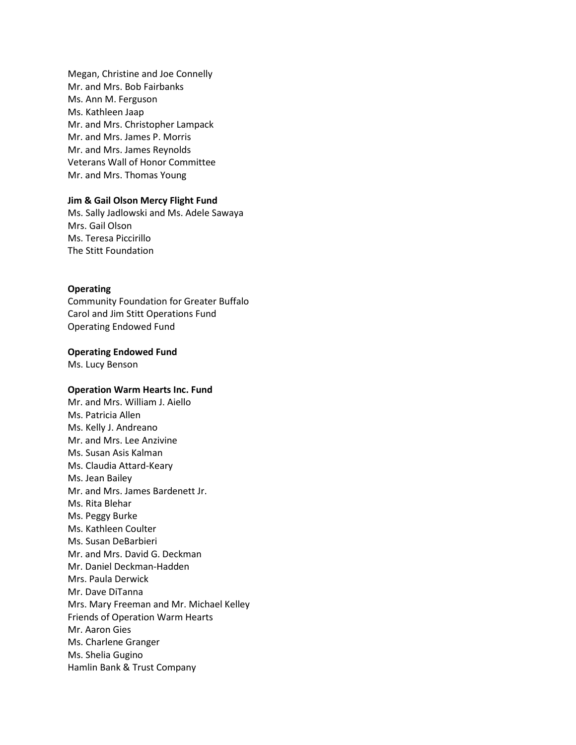Megan, Christine and Joe Connelly Mr. and Mrs. Bob Fairbanks Ms. Ann M. Ferguson Ms. Kathleen Jaap Mr. and Mrs. Christopher Lampack Mr. and Mrs. James P. Morris Mr. and Mrs. James Reynolds Veterans Wall of Honor Committee Mr. and Mrs. Thomas Young

## **Jim & Gail Olson Mercy Flight Fund**

Ms. Sally Jadlowski and Ms. Adele Sawaya Mrs. Gail Olson Ms. Teresa Piccirillo The Stitt Foundation

## **Operating**

Community Foundation for Greater Buffalo Carol and Jim Stitt Operations Fund Operating Endowed Fund

#### **Operating Endowed Fund**

Ms. Lucy Benson

#### **Operation Warm Hearts Inc. Fund**

Mr. and Mrs. William J. Aiello Ms. Patricia Allen Ms. Kelly J. Andreano Mr. and Mrs. Lee Anzivine Ms. Susan Asis Kalman Ms. Claudia Attard-Keary Ms. Jean Bailey Mr. and Mrs. James Bardenett Jr. Ms. Rita Blehar Ms. Peggy Burke Ms. Kathleen Coulter Ms. Susan DeBarbieri Mr. and Mrs. David G. Deckman Mr. Daniel Deckman-Hadden Mrs. Paula Derwick Mr. Dave DiTanna Mrs. Mary Freeman and Mr. Michael Kelley Friends of Operation Warm Hearts Mr. Aaron Gies Ms. Charlene Granger Ms. Shelia Gugino Hamlin Bank & Trust Company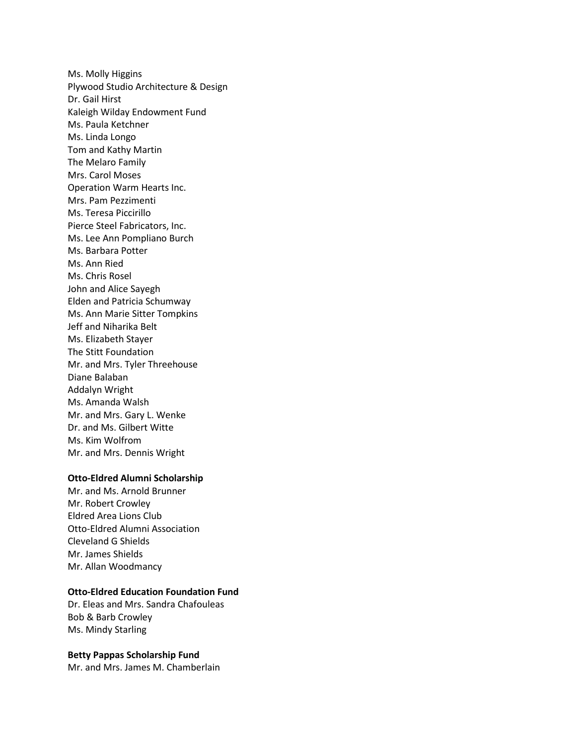Ms. Molly Higgins Plywood Studio Architecture & Design Dr. Gail Hirst Kaleigh Wilday Endowment Fund Ms. Paula Ketchner Ms. Linda Longo Tom and Kathy Martin The Melaro Family Mrs. Carol Moses Operation Warm Hearts Inc. Mrs. Pam Pezzimenti Ms. Teresa Piccirillo Pierce Steel Fabricators, Inc. Ms. Lee Ann Pompliano Burch Ms. Barbara Potter Ms. Ann Ried Ms. Chris Rosel John and Alice Sayegh Elden and Patricia Schumway Ms. Ann Marie Sitter Tompkins Jeff and Niharika Belt Ms. Elizabeth Stayer The Stitt Foundation Mr. and Mrs. Tyler Threehouse Diane Balaban Addalyn Wright Ms. Amanda Walsh Mr. and Mrs. Gary L. Wenke Dr. and Ms. Gilbert Witte Ms. Kim Wolfrom Mr. and Mrs. Dennis Wright

## **Otto-Eldred Alumni Scholarship**

Mr. and Ms. Arnold Brunner Mr. Robert Crowley Eldred Area Lions Club Otto-Eldred Alumni Association Cleveland G Shields Mr. James Shields Mr. Allan Woodmancy

# **Otto-Eldred Education Foundation Fund**

Dr. Eleas and Mrs. Sandra Chafouleas Bob & Barb Crowley Ms. Mindy Starling

## **Betty Pappas Scholarship Fund**

Mr. and Mrs. James M. Chamberlain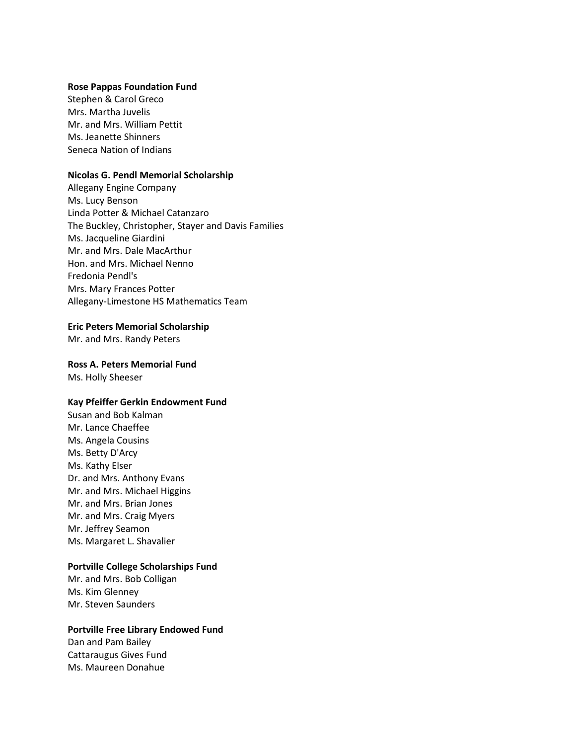#### **Rose Pappas Foundation Fund**

Stephen & Carol Greco Mrs. Martha Juvelis Mr. and Mrs. William Pettit Ms. Jeanette Shinners Seneca Nation of Indians

## **Nicolas G. Pendl Memorial Scholarship**

Allegany Engine Company Ms. Lucy Benson Linda Potter & Michael Catanzaro The Buckley, Christopher, Stayer and Davis Families Ms. Jacqueline Giardini Mr. and Mrs. Dale MacArthur Hon. and Mrs. Michael Nenno Fredonia Pendl's Mrs. Mary Frances Potter Allegany-Limestone HS Mathematics Team

#### **Eric Peters Memorial Scholarship**

Mr. and Mrs. Randy Peters

#### **Ross A. Peters Memorial Fund**

Ms. Holly Sheeser

#### **Kay Pfeiffer Gerkin Endowment Fund**

Susan and Bob Kalman Mr. Lance Chaeffee Ms. Angela Cousins Ms. Betty D'Arcy Ms. Kathy Elser Dr. and Mrs. Anthony Evans Mr. and Mrs. Michael Higgins Mr. and Mrs. Brian Jones Mr. and Mrs. Craig Myers Mr. Jeffrey Seamon Ms. Margaret L. Shavalier

## **Portville College Scholarships Fund**

Mr. and Mrs. Bob Colligan Ms. Kim Glenney Mr. Steven Saunders

#### **Portville Free Library Endowed Fund**

Dan and Pam Bailey Cattaraugus Gives Fund Ms. Maureen Donahue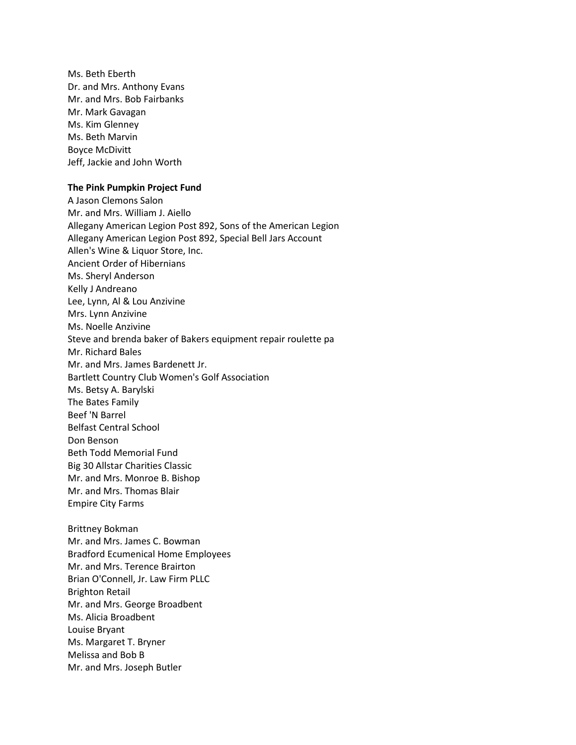Ms. Beth Eberth Dr. and Mrs. Anthony Evans Mr. and Mrs. Bob Fairbanks Mr. Mark Gavagan Ms. Kim Glenney Ms. Beth Marvin Boyce McDivitt Jeff, Jackie and John Worth

#### **The Pink Pumpkin Project Fund**

A Jason Clemons Salon Mr. and Mrs. William J. Aiello Allegany American Legion Post 892, Sons of the American Legion Allegany American Legion Post 892, Special Bell Jars Account Allen's Wine & Liquor Store, Inc. Ancient Order of Hibernians Ms. Sheryl Anderson Kelly J Andreano Lee, Lynn, Al & Lou Anzivine Mrs. Lynn Anzivine Ms. Noelle Anzivine Steve and brenda baker of Bakers equipment repair roulette pa Mr. Richard Bales Mr. and Mrs. James Bardenett Jr. Bartlett Country Club Women's Golf Association Ms. Betsy A. Barylski The Bates Family Beef 'N Barrel Belfast Central School Don Benson Beth Todd Memorial Fund Big 30 Allstar Charities Classic Mr. and Mrs. Monroe B. Bishop Mr. and Mrs. Thomas Blair Empire City Farms

Brittney Bokman Mr. and Mrs. James C. Bowman Bradford Ecumenical Home Employees Mr. and Mrs. Terence Brairton Brian O'Connell, Jr. Law Firm PLLC Brighton Retail Mr. and Mrs. George Broadbent Ms. Alicia Broadbent Louise Bryant Ms. Margaret T. Bryner Melissa and Bob B Mr. and Mrs. Joseph Butler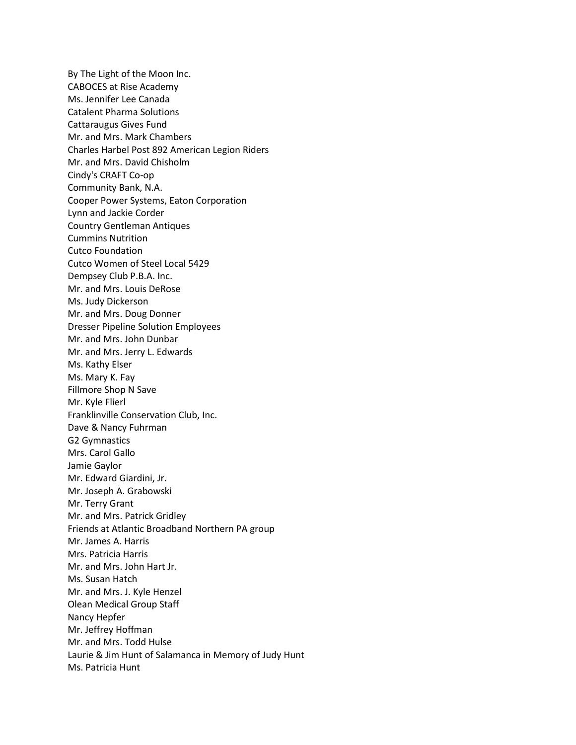By The Light of the Moon Inc. CABOCES at Rise Academy Ms. Jennifer Lee Canada Catalent Pharma Solutions Cattaraugus Gives Fund Mr. and Mrs. Mark Chambers Charles Harbel Post 892 American Legion Riders Mr. and Mrs. David Chisholm Cindy's CRAFT Co-op Community Bank, N.A. Cooper Power Systems, Eaton Corporation Lynn and Jackie Corder Country Gentleman Antiques Cummins Nutrition Cutco Foundation Cutco Women of Steel Local 5429 Dempsey Club P.B.A. Inc. Mr. and Mrs. Louis DeRose Ms. Judy Dickerson Mr. and Mrs. Doug Donner Dresser Pipeline Solution Employees Mr. and Mrs. John Dunbar Mr. and Mrs. Jerry L. Edwards Ms. Kathy Elser Ms. Mary K. Fay Fillmore Shop N Save Mr. Kyle Flierl Franklinville Conservation Club, Inc. Dave & Nancy Fuhrman G2 Gymnastics Mrs. Carol Gallo Jamie Gaylor Mr. Edward Giardini, Jr. Mr. Joseph A. Grabowski Mr. Terry Grant Mr. and Mrs. Patrick Gridley Friends at Atlantic Broadband Northern PA group Mr. James A. Harris Mrs. Patricia Harris Mr. and Mrs. John Hart Jr. Ms. Susan Hatch Mr. and Mrs. J. Kyle Henzel Olean Medical Group Staff Nancy Hepfer Mr. Jeffrey Hoffman Mr. and Mrs. Todd Hulse Laurie & Jim Hunt of Salamanca in Memory of Judy Hunt Ms. Patricia Hunt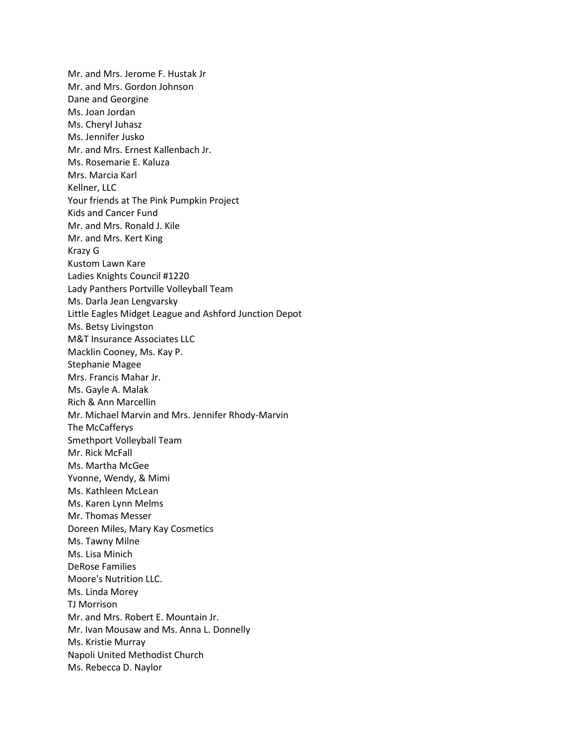Mr. and Mrs. Jerome F. Hustak Jr Mr. and Mrs. Gordon Johnson Dane and Georgine Ms. Joan Jordan Ms. Cheryl Juhasz Ms. Jennifer Jusko Mr. and Mrs. Ernest Kallenbach Jr. Ms. Rosemarie E. Kaluza Mrs. Marcia Karl Kellner, LLC Your friends at The Pink Pumpkin Project Kids and Cancer Fund Mr. and Mrs. Ronald J. Kile Mr. and Mrs. Kert King Krazy G Kustom Lawn Kare Ladies Knights Council #1220 Lady Panthers Portville Volleyball Team Ms. Darla Jean Lengvarsky Little Eagles Midget League and Ashford Junction Depot Ms. Betsy Livingston M&T Insurance Associates LLC Macklin Cooney, Ms. Kay P. Stephanie Magee Mrs. Francis Mahar Jr. Ms. Gayle A. Malak Rich & Ann Marcellin Mr. Michael Marvin and Mrs. Jennifer Rhody-Marvin The McCafferys Smethport Volleyball Team Mr. Rick McFall Ms. Martha McGee Yvonne, Wendy, & Mimi Ms. Kathleen McLean Ms. Karen Lynn Melms Mr. Thomas Messer Doreen Miles, Mary Kay Cosmetics Ms. Tawny Milne Ms. Lisa Minich DeRose Families Moore's Nutrition LLC. Ms. Linda Morey TJ Morrison Mr. and Mrs. Robert E. Mountain Jr. Mr. Ivan Mousaw and Ms. Anna L. Donnelly Ms. Kristie Murray Napoli United Methodist Church Ms. Rebecca D. Naylor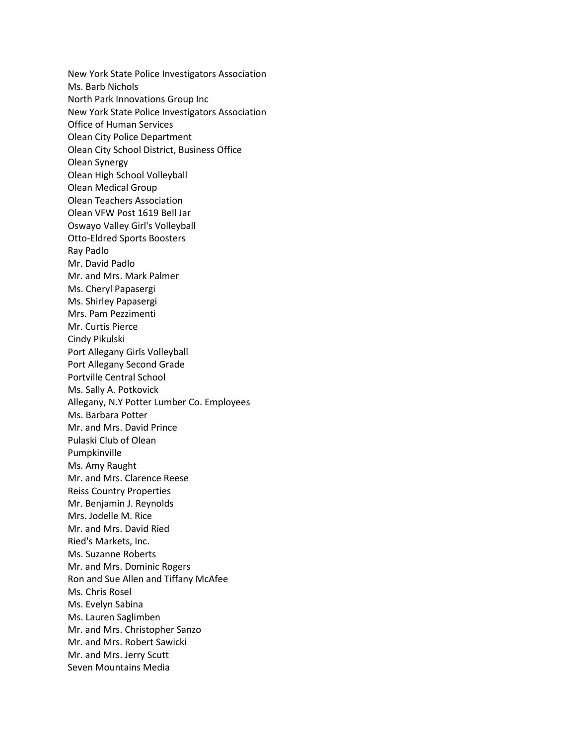New York State Police Investigators Association Ms. Barb Nichols North Park Innovations Group Inc New York State Police Investigators Association Office of Human Services Olean City Police Department Olean City School District, Business Office Olean Synergy Olean High School Volleyball Olean Medical Group Olean Teachers Association Olean VFW Post 1619 Bell Jar Oswayo Valley Girl's Volleyball Otto-Eldred Sports Boosters Ray Padlo Mr. David Padlo Mr. and Mrs. Mark Palmer Ms. Cheryl Papasergi Ms. Shirley Papasergi Mrs. Pam Pezzimenti Mr. Curtis Pierce Cindy Pikulski Port Allegany Girls Volleyball Port Allegany Second Grade Portville Central School Ms. Sally A. Potkovick Allegany, N.Y Potter Lumber Co. Employees Ms. Barbara Potter Mr. and Mrs. David Prince Pulaski Club of Olean Pumpkinville Ms. Amy Raught Mr. and Mrs. Clarence Reese Reiss Country Properties Mr. Benjamin J. Reynolds Mrs. Jodelle M. Rice Mr. and Mrs. David Ried Ried's Markets, Inc. Ms. Suzanne Roberts Mr. and Mrs. Dominic Rogers Ron and Sue Allen and Tiffany McAfee Ms. Chris Rosel Ms. Evelyn Sabina Ms. Lauren Saglimben Mr. and Mrs. Christopher Sanzo Mr. and Mrs. Robert Sawicki Mr. and Mrs. Jerry Scutt Seven Mountains Media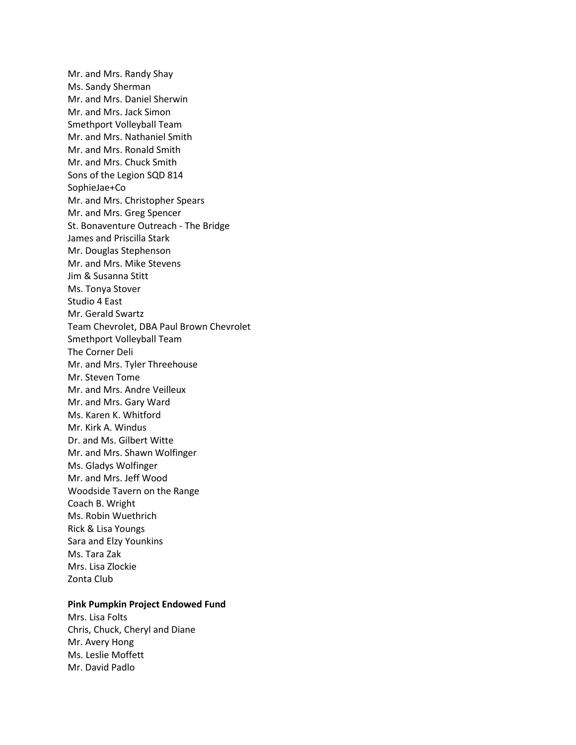Mr. and Mrs. Randy Shay Ms. Sandy Sherman Mr. and Mrs. Daniel Sherwin Mr. and Mrs. Jack Simon Smethport Volleyball Team Mr. and Mrs. Nathaniel Smith Mr. and Mrs. Ronald Smith Mr. and Mrs. Chuck Smith Sons of the Legion SQD 814 SophieJae+Co Mr. and Mrs. Christopher Spears Mr. and Mrs. Greg Spencer St. Bonaventure Outreach - The Bridge James and Priscilla Stark Mr. Douglas Stephenson Mr. and Mrs. Mike Stevens Jim & Susanna Stitt Ms. Tonya Stover Studio 4 East Mr. Gerald Swartz Team Chevrolet, DBA Paul Brown Chevrolet Smethport Volleyball Team The Corner Deli Mr. and Mrs. Tyler Threehouse Mr. Steven Tome Mr. and Mrs. Andre Veilleux Mr. and Mrs. Gary Ward Ms. Karen K. Whitford Mr. Kirk A. Windus Dr. and Ms. Gilbert Witte Mr. and Mrs. Shawn Wolfinger Ms. Gladys Wolfinger Mr. and Mrs. Jeff Wood Woodside Tavern on the Range Coach B. Wright Ms. Robin Wuethrich Rick & Lisa Youngs Sara and Elzy Younkins Ms. Tara Zak Mrs. Lisa Zlockie Zonta Club

# **Pink Pumpkin Project Endowed Fund**

Mrs. Lisa Folts Chris, Chuck, Cheryl and Diane Mr. Avery Hong Ms. Leslie Moffett Mr. David Padlo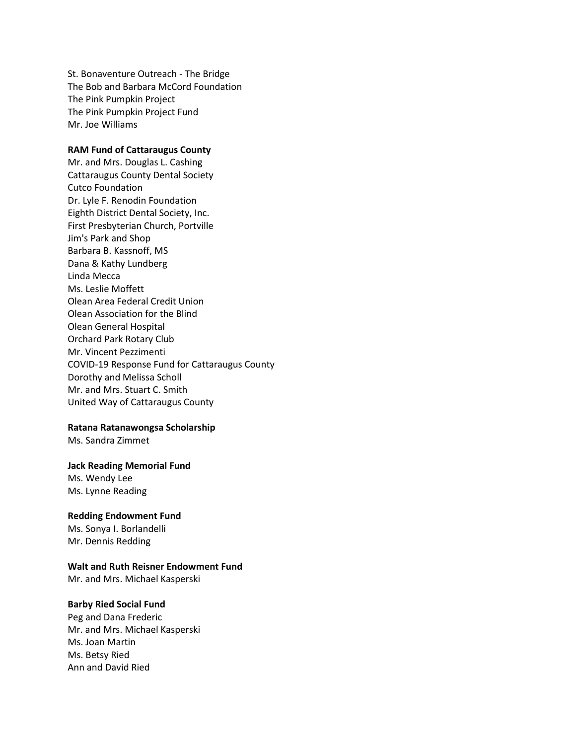St. Bonaventure Outreach - The Bridge The Bob and Barbara McCord Foundation The Pink Pumpkin Project The Pink Pumpkin Project Fund Mr. Joe Williams

# **RAM Fund of Cattaraugus County**

Mr. and Mrs. Douglas L. Cashing Cattaraugus County Dental Society Cutco Foundation Dr. Lyle F. Renodin Foundation Eighth District Dental Society, Inc. First Presbyterian Church, Portville Jim's Park and Shop Barbara B. Kassnoff, MS Dana & Kathy Lundberg Linda Mecca Ms. Leslie Moffett Olean Area Federal Credit Union Olean Association for the Blind Olean General Hospital Orchard Park Rotary Club Mr. Vincent Pezzimenti COVID-19 Response Fund for Cattaraugus County Dorothy and Melissa Scholl Mr. and Mrs. Stuart C. Smith United Way of Cattaraugus County

## **Ratana Ratanawongsa Scholarship**

Ms. Sandra Zimmet

#### **Jack Reading Memorial Fund**

Ms. Wendy Lee Ms. Lynne Reading

#### **Redding Endowment Fund**

Ms. Sonya I. Borlandelli Mr. Dennis Redding

#### **Walt and Ruth Reisner Endowment Fund**

Mr. and Mrs. Michael Kasperski

# **Barby Ried Social Fund**

Peg and Dana Frederic Mr. and Mrs. Michael Kasperski Ms. Joan Martin Ms. Betsy Ried Ann and David Ried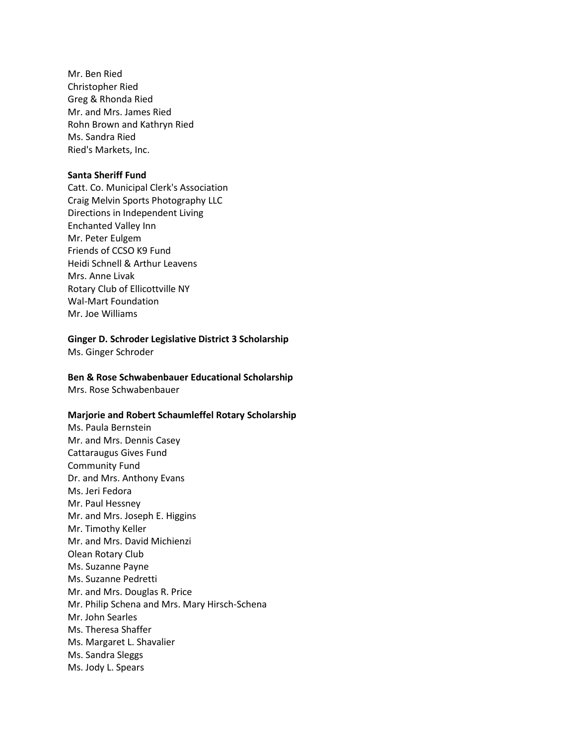Mr. Ben Ried Christopher Ried Greg & Rhonda Ried Mr. and Mrs. James Ried Rohn Brown and Kathryn Ried Ms. Sandra Ried Ried's Markets, Inc.

## **Santa Sheriff Fund**

Catt. Co. Municipal Clerk's Association Craig Melvin Sports Photography LLC Directions in Independent Living Enchanted Valley Inn Mr. Peter Eulgem Friends of CCSO K9 Fund Heidi Schnell & Arthur Leavens Mrs. Anne Livak Rotary Club of Ellicottville NY Wal-Mart Foundation Mr. Joe Williams

# **Ginger D. Schroder Legislative District 3 Scholarship**

Ms. Ginger Schroder

# **Ben & Rose Schwabenbauer Educational Scholarship**

Mrs. Rose Schwabenbauer

## **Marjorie and Robert Schaumleffel Rotary Scholarship**

Ms. Paula Bernstein Mr. and Mrs. Dennis Casey Cattaraugus Gives Fund Community Fund Dr. and Mrs. Anthony Evans Ms. Jeri Fedora Mr. Paul Hessney Mr. and Mrs. Joseph E. Higgins Mr. Timothy Keller Mr. and Mrs. David Michienzi Olean Rotary Club Ms. Suzanne Payne Ms. Suzanne Pedretti Mr. and Mrs. Douglas R. Price Mr. Philip Schena and Mrs. Mary Hirsch-Schena Mr. John Searles Ms. Theresa Shaffer Ms. Margaret L. Shavalier Ms. Sandra Sleggs Ms. Jody L. Spears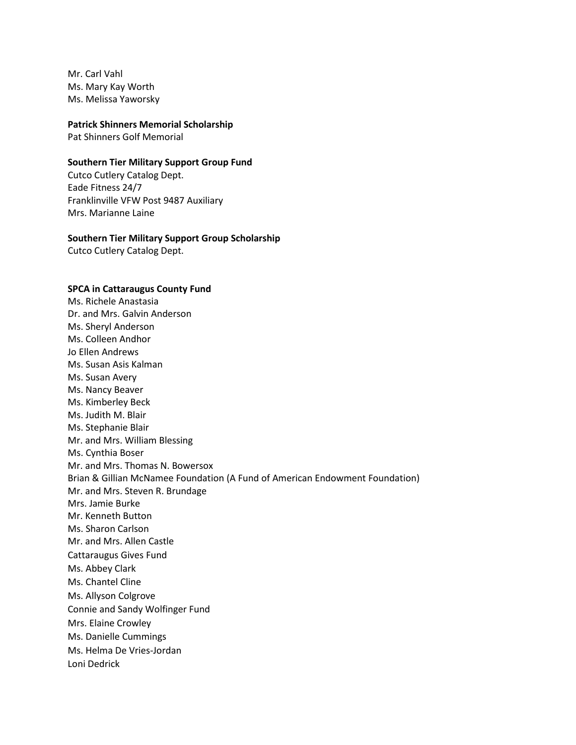Mr. Carl Vahl Ms. Mary Kay Worth Ms. Melissa Yaworsky

#### **Patrick Shinners Memorial Scholarship**

Pat Shinners Golf Memorial

#### **Southern Tier Military Support Group Fund**

Cutco Cutlery Catalog Dept. Eade Fitness 24/7 Franklinville VFW Post 9487 Auxiliary Mrs. Marianne Laine

#### **Southern Tier Military Support Group Scholarship**

Cutco Cutlery Catalog Dept.

## **SPCA in Cattaraugus County Fund**

Ms. Richele Anastasia Dr. and Mrs. Galvin Anderson Ms. Sheryl Anderson Ms. Colleen Andhor Jo Ellen Andrews Ms. Susan Asis Kalman Ms. Susan Avery Ms. Nancy Beaver Ms. Kimberley Beck Ms. Judith M. Blair Ms. Stephanie Blair Mr. and Mrs. William Blessing Ms. Cynthia Boser Mr. and Mrs. Thomas N. Bowersox Brian & Gillian McNamee Foundation (A Fund of American Endowment Foundation) Mr. and Mrs. Steven R. Brundage Mrs. Jamie Burke Mr. Kenneth Button Ms. Sharon Carlson Mr. and Mrs. Allen Castle Cattaraugus Gives Fund Ms. Abbey Clark Ms. Chantel Cline Ms. Allyson Colgrove Connie and Sandy Wolfinger Fund Mrs. Elaine Crowley Ms. Danielle Cummings Ms. Helma De Vries-Jordan Loni Dedrick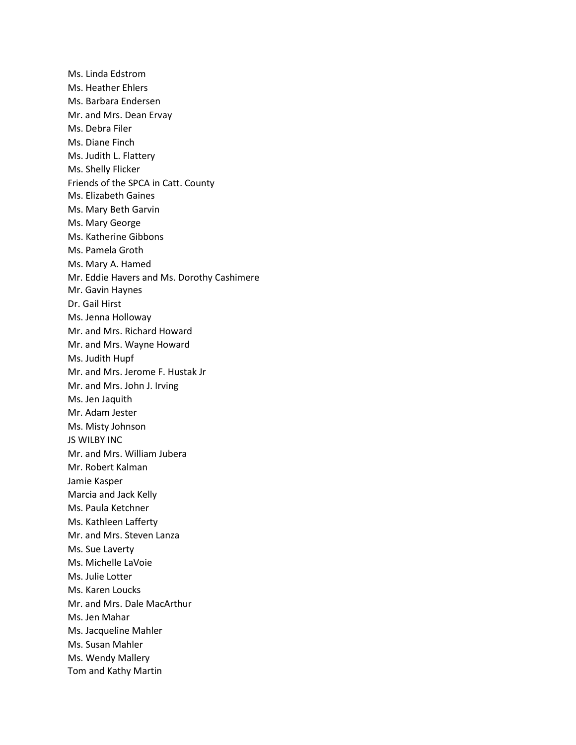Ms. Linda Edstrom Ms. Heather Ehlers Ms. Barbara Endersen Mr. and Mrs. Dean Ervay Ms. Debra Filer Ms. Diane Finch Ms. Judith L. Flattery Ms. Shelly Flicker Friends of the SPCA in Catt. County Ms. Elizabeth Gaines Ms. Mary Beth Garvin Ms. Mary George Ms. Katherine Gibbons Ms. Pamela Groth Ms. Mary A. Hamed Mr. Eddie Havers and Ms. Dorothy Cashimere Mr. Gavin Haynes Dr. Gail Hirst Ms. Jenna Holloway Mr. and Mrs. Richard Howard Mr. and Mrs. Wayne Howard Ms. Judith Hupf Mr. and Mrs. Jerome F. Hustak Jr Mr. and Mrs. John J. Irving Ms. Jen Jaquith Mr. Adam Jester Ms. Misty Johnson JS WILBY INC Mr. and Mrs. William Jubera Mr. Robert Kalman Jamie Kasper Marcia and Jack Kelly Ms. Paula Ketchner Ms. Kathleen Lafferty Mr. and Mrs. Steven Lanza Ms. Sue Laverty Ms. Michelle LaVoie Ms. Julie Lotter Ms. Karen Loucks Mr. and Mrs. Dale MacArthur Ms. Jen Mahar Ms. Jacqueline Mahler Ms. Susan Mahler Ms. Wendy Mallery Tom and Kathy Martin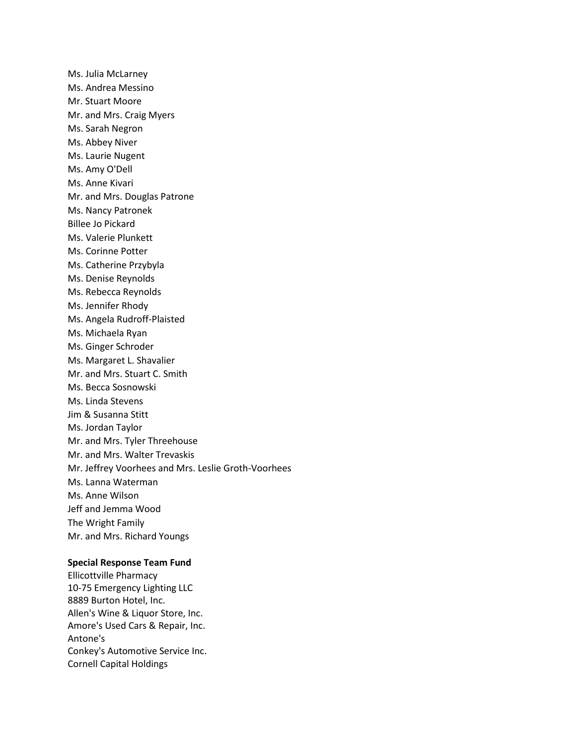Ms. Julia McLarney Ms. Andrea Messino Mr. Stuart Moore Mr. and Mrs. Craig Myers Ms. Sarah Negron Ms. Abbey Niver Ms. Laurie Nugent Ms. Amy O'Dell Ms. Anne Kivari Mr. and Mrs. Douglas Patrone Ms. Nancy Patronek Billee Jo Pickard Ms. Valerie Plunkett Ms. Corinne Potter Ms. Catherine Przybyla Ms. Denise Reynolds Ms. Rebecca Reynolds Ms. Jennifer Rhody Ms. Angela Rudroff-Plaisted Ms. Michaela Ryan Ms. Ginger Schroder Ms. Margaret L. Shavalier Mr. and Mrs. Stuart C. Smith Ms. Becca Sosnowski Ms. Linda Stevens Jim & Susanna Stitt Ms. Jordan Taylor Mr. and Mrs. Tyler Threehouse Mr. and Mrs. Walter Trevaskis Mr. Jeffrey Voorhees and Mrs. Leslie Groth-Voorhees Ms. Lanna Waterman Ms. Anne Wilson Jeff and Jemma Wood The Wright Family Mr. and Mrs. Richard Youngs

#### **Special Response Team Fund**

Ellicottville Pharmacy 10-75 Emergency Lighting LLC 8889 Burton Hotel, Inc. Allen's Wine & Liquor Store, Inc. Amore's Used Cars & Repair, Inc. Antone's Conkey's Automotive Service Inc. Cornell Capital Holdings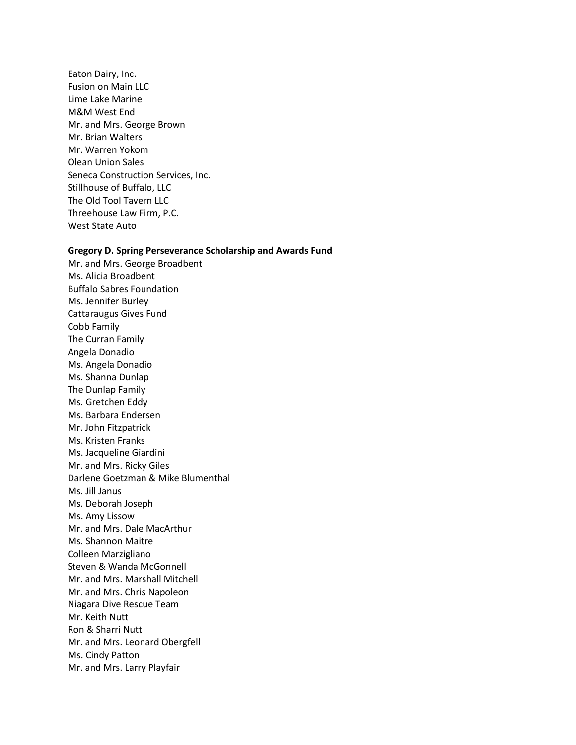Eaton Dairy, Inc. Fusion on Main LLC Lime Lake Marine M&M West End Mr. and Mrs. George Brown Mr. Brian Walters Mr. Warren Yokom Olean Union Sales Seneca Construction Services, Inc. Stillhouse of Buffalo, LLC The Old Tool Tavern LLC Threehouse Law Firm, P.C. West State Auto

#### **Gregory D. Spring Perseverance Scholarship and Awards Fund**

Mr. and Mrs. George Broadbent Ms. Alicia Broadbent Buffalo Sabres Foundation Ms. Jennifer Burley Cattaraugus Gives Fund Cobb Family The Curran Family Angela Donadio Ms. Angela Donadio Ms. Shanna Dunlap The Dunlap Family Ms. Gretchen Eddy Ms. Barbara Endersen Mr. John Fitzpatrick Ms. Kristen Franks Ms. Jacqueline Giardini Mr. and Mrs. Ricky Giles Darlene Goetzman & Mike Blumenthal Ms. Jill Janus Ms. Deborah Joseph Ms. Amy Lissow Mr. and Mrs. Dale MacArthur Ms. Shannon Maitre Colleen Marzigliano Steven & Wanda McGonnell Mr. and Mrs. Marshall Mitchell Mr. and Mrs. Chris Napoleon Niagara Dive Rescue Team Mr. Keith Nutt Ron & Sharri Nutt Mr. and Mrs. Leonard Obergfell Ms. Cindy Patton Mr. and Mrs. Larry Playfair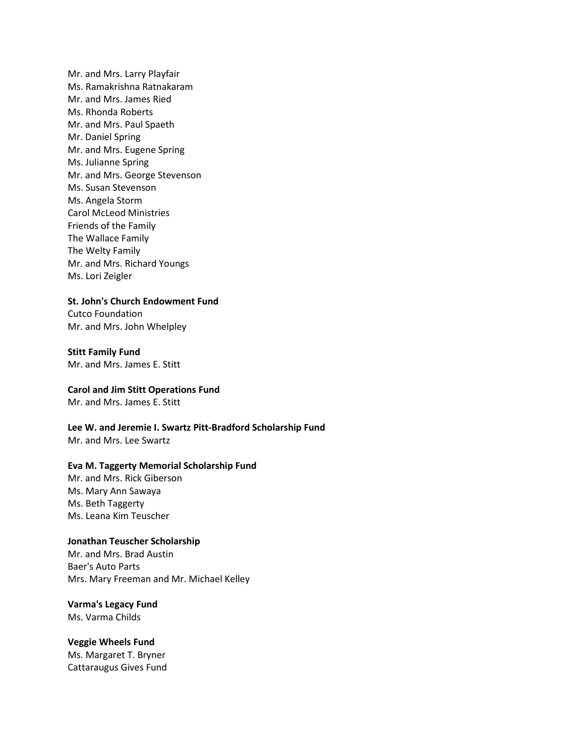Mr. and Mrs. Larry Playfair Ms. Ramakrishna Ratnakaram Mr. and Mrs. James Ried Ms. Rhonda Roberts Mr. and Mrs. Paul Spaeth Mr. Daniel Spring Mr. and Mrs. Eugene Spring Ms. Julianne Spring Mr. and Mrs. George Stevenson Ms. Susan Stevenson Ms. Angela Storm Carol McLeod Ministries Friends of the Family The Wallace Family The Welty Family Mr. and Mrs. Richard Youngs Ms. Lori Zeigler

**St. John's Church Endowment Fund**

Cutco Foundation Mr. and Mrs. John Whelpley

#### **Stitt Family Fund**

Mr. and Mrs. James E. Stitt

## **Carol and Jim Stitt Operations Fund**

Mr. and Mrs. James E. Stitt

**Lee W. and Jeremie I. Swartz Pitt-Bradford Scholarship Fund**

Mr. and Mrs. Lee Swartz

# **Eva M. Taggerty Memorial Scholarship Fund**

Mr. and Mrs. Rick Giberson Ms. Mary Ann Sawaya Ms. Beth Taggerty Ms. Leana Kim Teuscher

# **Jonathan Teuscher Scholarship**

Mr. and Mrs. Brad Austin Baer's Auto Parts Mrs. Mary Freeman and Mr. Michael Kelley

# **Varma's Legacy Fund** Ms. Varma Childs

**Veggie Wheels Fund** Ms. Margaret T. Bryner Cattaraugus Gives Fund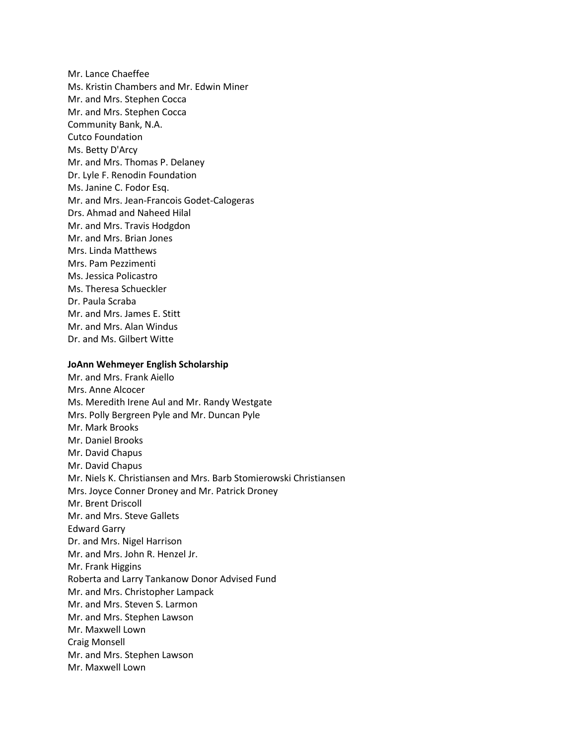Mr. Lance Chaeffee Ms. Kristin Chambers and Mr. Edwin Miner Mr. and Mrs. Stephen Cocca Mr. and Mrs. Stephen Cocca Community Bank, N.A. Cutco Foundation Ms. Betty D'Arcy Mr. and Mrs. Thomas P. Delaney Dr. Lyle F. Renodin Foundation Ms. Janine C. Fodor Esq. Mr. and Mrs. Jean-Francois Godet-Calogeras Drs. Ahmad and Naheed Hilal Mr. and Mrs. Travis Hodgdon Mr. and Mrs. Brian Jones Mrs. Linda Matthews Mrs. Pam Pezzimenti Ms. Jessica Policastro Ms. Theresa Schueckler Dr. Paula Scraba Mr. and Mrs. James E. Stitt Mr. and Mrs. Alan Windus Dr. and Ms. Gilbert Witte

## **JoAnn Wehmeyer English Scholarship**

Mr. and Mrs. Frank Aiello Mrs. Anne Alcocer Ms. Meredith Irene Aul and Mr. Randy Westgate Mrs. Polly Bergreen Pyle and Mr. Duncan Pyle Mr. Mark Brooks Mr. Daniel Brooks Mr. David Chapus Mr. David Chapus Mr. Niels K. Christiansen and Mrs. Barb Stomierowski Christiansen Mrs. Joyce Conner Droney and Mr. Patrick Droney Mr. Brent Driscoll Mr. and Mrs. Steve Gallets Edward Garry Dr. and Mrs. Nigel Harrison Mr. and Mrs. John R. Henzel Jr. Mr. Frank Higgins Roberta and Larry Tankanow Donor Advised Fund Mr. and Mrs. Christopher Lampack Mr. and Mrs. Steven S. Larmon Mr. and Mrs. Stephen Lawson Mr. Maxwell Lown Craig Monsell Mr. and Mrs. Stephen Lawson Mr. Maxwell Lown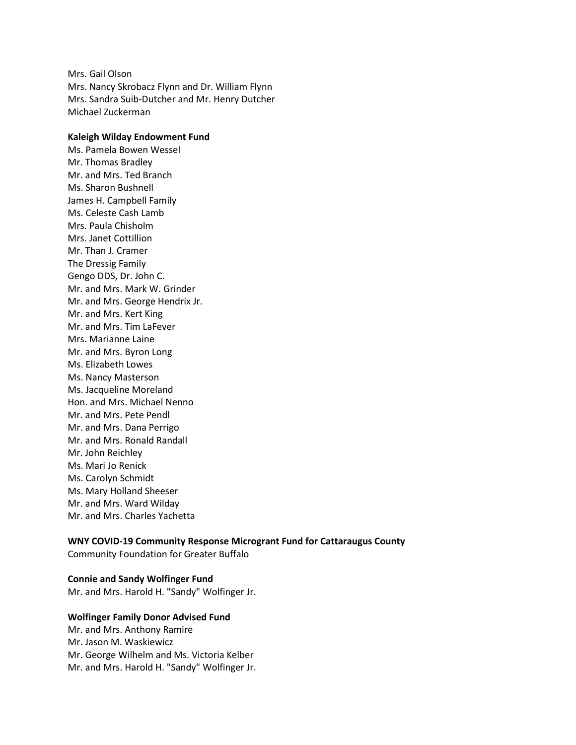Mrs. Gail Olson Mrs. Nancy Skrobacz Flynn and Dr. William Flynn Mrs. Sandra Suib-Dutcher and Mr. Henry Dutcher Michael Zuckerman

#### **Kaleigh Wilday Endowment Fund**

Ms. Pamela Bowen Wessel Mr. Thomas Bradley Mr. and Mrs. Ted Branch Ms. Sharon Bushnell James H. Campbell Family Ms. Celeste Cash Lamb Mrs. Paula Chisholm Mrs. Janet Cottillion Mr. Than J. Cramer The Dressig Family Gengo DDS, Dr. John C. Mr. and Mrs. Mark W. Grinder Mr. and Mrs. George Hendrix Jr. Mr. and Mrs. Kert King Mr. and Mrs. Tim LaFever Mrs. Marianne Laine Mr. and Mrs. Byron Long Ms. Elizabeth Lowes Ms. Nancy Masterson Ms. Jacqueline Moreland Hon. and Mrs. Michael Nenno Mr. and Mrs. Pete Pendl Mr. and Mrs. Dana Perrigo Mr. and Mrs. Ronald Randall Mr. John Reichley Ms. Mari Jo Renick Ms. Carolyn Schmidt Ms. Mary Holland Sheeser Mr. and Mrs. Ward Wilday Mr. and Mrs. Charles Yachetta

# **WNY COVID-19 Community Response Microgrant Fund for Cattaraugus County**

Community Foundation for Greater Buffalo

# **Connie and Sandy Wolfinger Fund**

Mr. and Mrs. Harold H. "Sandy" Wolfinger Jr.

# **Wolfinger Family Donor Advised Fund** Mr. and Mrs. Anthony Ramire Mr. Jason M. Waskiewicz Mr. George Wilhelm and Ms. Victoria Kelber Mr. and Mrs. Harold H. "Sandy" Wolfinger Jr.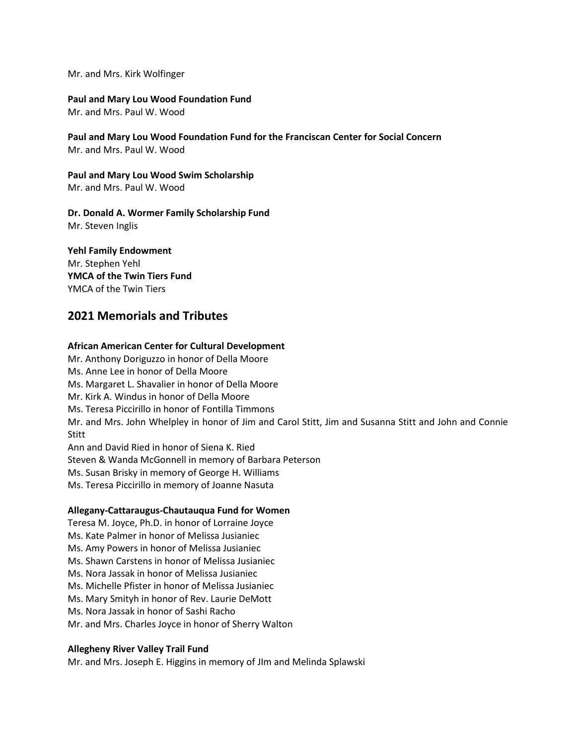Mr. and Mrs. Kirk Wolfinger

# **Paul and Mary Lou Wood Foundation Fund**

Mr. and Mrs. Paul W. Wood

**Paul and Mary Lou Wood Foundation Fund for the Franciscan Center for Social Concern** Mr. and Mrs. Paul W. Wood

**Paul and Mary Lou Wood Swim Scholarship** Mr. and Mrs. Paul W. Wood

# **Dr. Donald A. Wormer Family Scholarship Fund**

Mr. Steven Inglis

# **Yehl Family Endowment**

Mr. Stephen Yehl **YMCA of the Twin Tiers Fund** YMCA of the Twin Tiers

# **2021 Memorials and Tributes**

# **African American Center for Cultural Development**

Mr. Anthony Doriguzzo in honor of Della Moore

Ms. Anne Lee in honor of Della Moore Ms. Margaret L. Shavalier in honor of Della Moore Mr. Kirk A. Windus in honor of Della Moore Ms. Teresa Piccirillo in honor of Fontilla Timmons

Mr. and Mrs. John Whelpley in honor of Jim and Carol Stitt, Jim and Susanna Stitt and John and Connie **Stitt** 

Ann and David Ried in honor of Siena K. Ried Steven & Wanda McGonnell in memory of Barbara Peterson Ms. Susan Brisky in memory of George H. Williams Ms. Teresa Piccirillo in memory of Joanne Nasuta

## **Allegany-Cattaraugus-Chautauqua Fund for Women**

Teresa M. Joyce, Ph.D. in honor of Lorraine Joyce Ms. Kate Palmer in honor of Melissa Jusianiec Ms. Amy Powers in honor of Melissa Jusianiec Ms. Shawn Carstens in honor of Melissa Jusianiec Ms. Nora Jassak in honor of Melissa Jusianiec Ms. Michelle Pfister in honor of Melissa Jusianiec Ms. Mary Smityh in honor of Rev. Laurie DeMott Ms. Nora Jassak in honor of Sashi Racho Mr. and Mrs. Charles Joyce in honor of Sherry Walton

## **Allegheny River Valley Trail Fund**

Mr. and Mrs. Joseph E. Higgins in memory of JIm and Melinda Splawski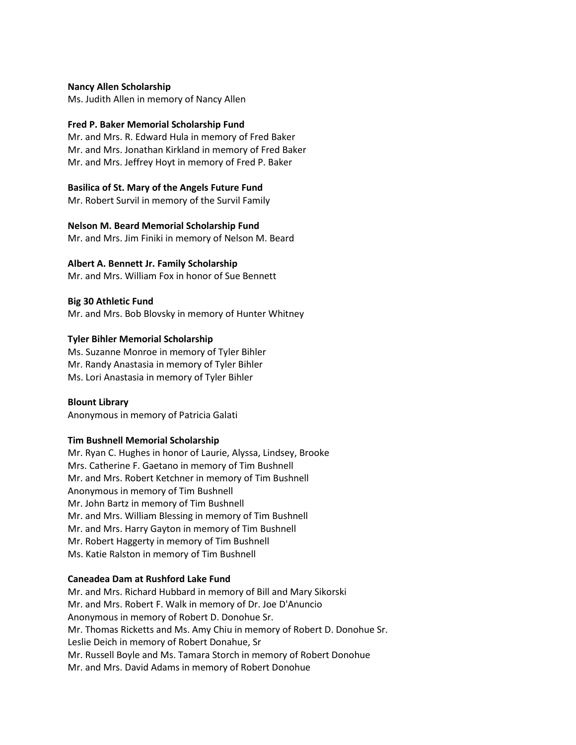**Nancy Allen Scholarship** Ms. Judith Allen in memory of Nancy Allen

# **Fred P. Baker Memorial Scholarship Fund**

Mr. and Mrs. R. Edward Hula in memory of Fred Baker Mr. and Mrs. Jonathan Kirkland in memory of Fred Baker Mr. and Mrs. Jeffrey Hoyt in memory of Fred P. Baker

# **Basilica of St. Mary of the Angels Future Fund**

Mr. Robert Survil in memory of the Survil Family

## **Nelson M. Beard Memorial Scholarship Fund**

Mr. and Mrs. Jim Finiki in memory of Nelson M. Beard

# **Albert A. Bennett Jr. Family Scholarship**

Mr. and Mrs. William Fox in honor of Sue Bennett

# **Big 30 Athletic Fund**

Mr. and Mrs. Bob Blovsky in memory of Hunter Whitney

# **Tyler Bihler Memorial Scholarship**

Ms. Suzanne Monroe in memory of Tyler Bihler Mr. Randy Anastasia in memory of Tyler Bihler Ms. Lori Anastasia in memory of Tyler Bihler

## **Blount Library**

Anonymous in memory of Patricia Galati

# **Tim Bushnell Memorial Scholarship**

Mr. Ryan C. Hughes in honor of Laurie, Alyssa, Lindsey, Brooke Mrs. Catherine F. Gaetano in memory of Tim Bushnell Mr. and Mrs. Robert Ketchner in memory of Tim Bushnell Anonymous in memory of Tim Bushnell Mr. John Bartz in memory of Tim Bushnell Mr. and Mrs. William Blessing in memory of Tim Bushnell Mr. and Mrs. Harry Gayton in memory of Tim Bushnell Mr. Robert Haggerty in memory of Tim Bushnell Ms. Katie Ralston in memory of Tim Bushnell

# **Caneadea Dam at Rushford Lake Fund**

Mr. and Mrs. Richard Hubbard in memory of Bill and Mary Sikorski Mr. and Mrs. Robert F. Walk in memory of Dr. Joe D'Anuncio Anonymous in memory of Robert D. Donohue Sr. Mr. Thomas Ricketts and Ms. Amy Chiu in memory of Robert D. Donohue Sr. Leslie Deich in memory of Robert Donahue, Sr Mr. Russell Boyle and Ms. Tamara Storch in memory of Robert Donohue Mr. and Mrs. David Adams in memory of Robert Donohue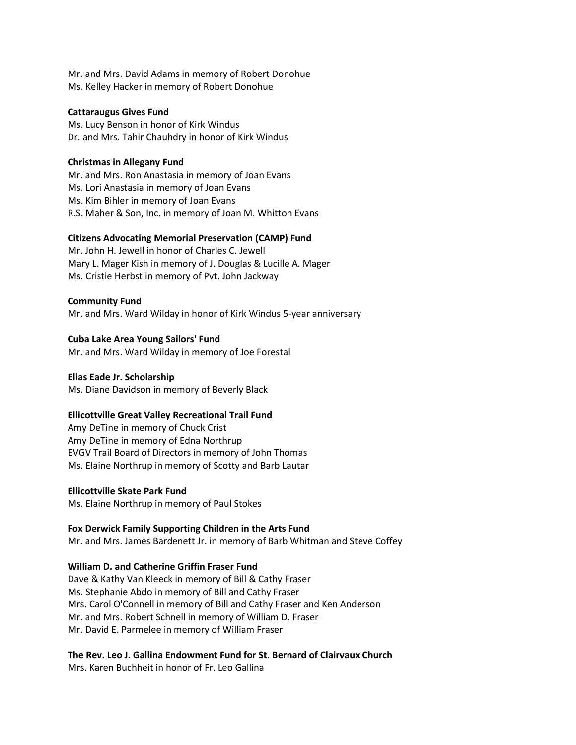Mr. and Mrs. David Adams in memory of Robert Donohue Ms. Kelley Hacker in memory of Robert Donohue

#### **Cattaraugus Gives Fund**

Ms. Lucy Benson in honor of Kirk Windus Dr. and Mrs. Tahir Chauhdry in honor of Kirk Windus

## **Christmas in Allegany Fund**

Mr. and Mrs. Ron Anastasia in memory of Joan Evans Ms. Lori Anastasia in memory of Joan Evans Ms. Kim Bihler in memory of Joan Evans R.S. Maher & Son, Inc. in memory of Joan M. Whitton Evans

#### **Citizens Advocating Memorial Preservation (CAMP) Fund**

Mr. John H. Jewell in honor of Charles C. Jewell Mary L. Mager Kish in memory of J. Douglas & Lucille A. Mager Ms. Cristie Herbst in memory of Pvt. John Jackway

#### **Community Fund**

Mr. and Mrs. Ward Wilday in honor of Kirk Windus 5-year anniversary

#### **Cuba Lake Area Young Sailors' Fund**

Mr. and Mrs. Ward Wilday in memory of Joe Forestal

## **Elias Eade Jr. Scholarship**

Ms. Diane Davidson in memory of Beverly Black

#### **Ellicottville Great Valley Recreational Trail Fund**

Amy DeTine in memory of Chuck Crist Amy DeTine in memory of Edna Northrup EVGV Trail Board of Directors in memory of John Thomas Ms. Elaine Northrup in memory of Scotty and Barb Lautar

#### **Ellicottville Skate Park Fund**

Ms. Elaine Northrup in memory of Paul Stokes

#### **Fox Derwick Family Supporting Children in the Arts Fund**

Mr. and Mrs. James Bardenett Jr. in memory of Barb Whitman and Steve Coffey

#### **William D. and Catherine Griffin Fraser Fund**

Dave & Kathy Van Kleeck in memory of Bill & Cathy Fraser Ms. Stephanie Abdo in memory of Bill and Cathy Fraser Mrs. Carol O'Connell in memory of Bill and Cathy Fraser and Ken Anderson Mr. and Mrs. Robert Schnell in memory of William D. Fraser Mr. David E. Parmelee in memory of William Fraser

# **The Rev. Leo J. Gallina Endowment Fund for St. Bernard of Clairvaux Church**

Mrs. Karen Buchheit in honor of Fr. Leo Gallina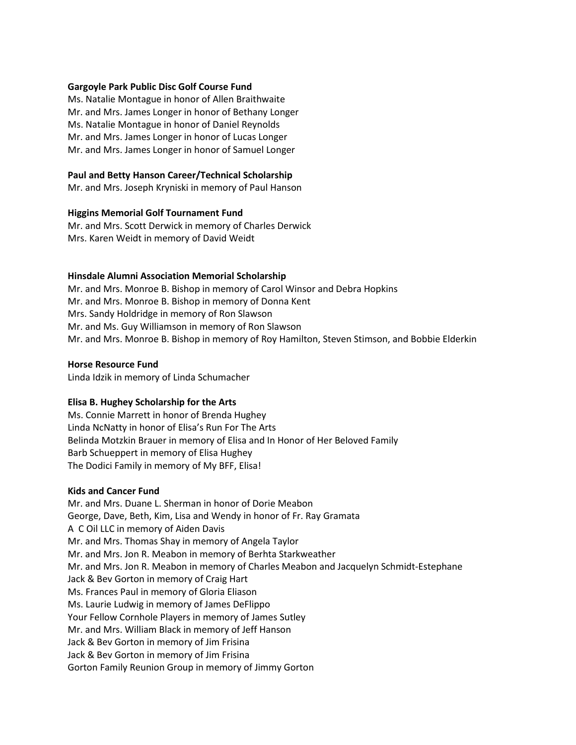# **Gargoyle Park Public Disc Golf Course Fund**

Ms. Natalie Montague in honor of Allen Braithwaite Mr. and Mrs. James Longer in honor of Bethany Longer Ms. Natalie Montague in honor of Daniel Reynolds Mr. and Mrs. James Longer in honor of Lucas Longer Mr. and Mrs. James Longer in honor of Samuel Longer

# **Paul and Betty Hanson Career/Technical Scholarship**

Mr. and Mrs. Joseph Kryniski in memory of Paul Hanson

## **Higgins Memorial Golf Tournament Fund**

Mr. and Mrs. Scott Derwick in memory of Charles Derwick Mrs. Karen Weidt in memory of David Weidt

# **Hinsdale Alumni Association Memorial Scholarship**

Mr. and Mrs. Monroe B. Bishop in memory of Carol Winsor and Debra Hopkins Mr. and Mrs. Monroe B. Bishop in memory of Donna Kent Mrs. Sandy Holdridge in memory of Ron Slawson Mr. and Ms. Guy Williamson in memory of Ron Slawson Mr. and Mrs. Monroe B. Bishop in memory of Roy Hamilton, Steven Stimson, and Bobbie Elderkin

## **Horse Resource Fund**

Linda Idzik in memory of Linda Schumacher

# **Elisa B. Hughey Scholarship for the Arts**

Ms. Connie Marrett in honor of Brenda Hughey Linda NcNatty in honor of Elisa's Run For The Arts Belinda Motzkin Brauer in memory of Elisa and In Honor of Her Beloved Family Barb Schueppert in memory of Elisa Hughey The Dodici Family in memory of My BFF, Elisa!

# **Kids and Cancer Fund**

Mr. and Mrs. Duane L. Sherman in honor of Dorie Meabon George, Dave, Beth, Kim, Lisa and Wendy in honor of Fr. Ray Gramata A C Oil LLC in memory of Aiden Davis Mr. and Mrs. Thomas Shay in memory of Angela Taylor Mr. and Mrs. Jon R. Meabon in memory of Berhta Starkweather Mr. and Mrs. Jon R. Meabon in memory of Charles Meabon and Jacquelyn Schmidt-Estephane Jack & Bev Gorton in memory of Craig Hart Ms. Frances Paul in memory of Gloria Eliason Ms. Laurie Ludwig in memory of James DeFlippo Your Fellow Cornhole Players in memory of James Sutley Mr. and Mrs. William Black in memory of Jeff Hanson Jack & Bev Gorton in memory of Jim Frisina Jack & Bev Gorton in memory of Jim Frisina Gorton Family Reunion Group in memory of Jimmy Gorton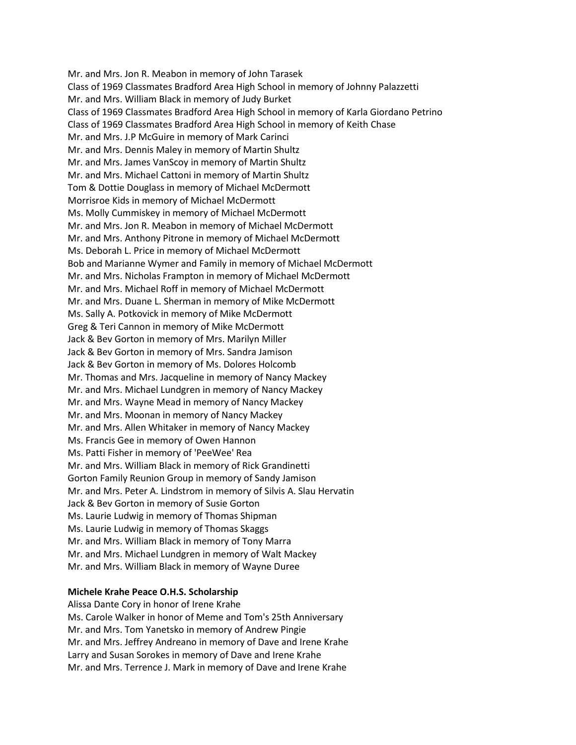Mr. and Mrs. Jon R. Meabon in memory of John Tarasek Class of 1969 Classmates Bradford Area High School in memory of Johnny Palazzetti Mr. and Mrs. William Black in memory of Judy Burket Class of 1969 Classmates Bradford Area High School in memory of Karla Giordano Petrino Class of 1969 Classmates Bradford Area High School in memory of Keith Chase Mr. and Mrs. J.P McGuire in memory of Mark Carinci Mr. and Mrs. Dennis Maley in memory of Martin Shultz Mr. and Mrs. James VanScoy in memory of Martin Shultz Mr. and Mrs. Michael Cattoni in memory of Martin Shultz Tom & Dottie Douglass in memory of Michael McDermott Morrisroe Kids in memory of Michael McDermott Ms. Molly Cummiskey in memory of Michael McDermott Mr. and Mrs. Jon R. Meabon in memory of Michael McDermott Mr. and Mrs. Anthony Pitrone in memory of Michael McDermott Ms. Deborah L. Price in memory of Michael McDermott Bob and Marianne Wymer and Family in memory of Michael McDermott Mr. and Mrs. Nicholas Frampton in memory of Michael McDermott Mr. and Mrs. Michael Roff in memory of Michael McDermott Mr. and Mrs. Duane L. Sherman in memory of Mike McDermott Ms. Sally A. Potkovick in memory of Mike McDermott Greg & Teri Cannon in memory of Mike McDermott Jack & Bev Gorton in memory of Mrs. Marilyn Miller Jack & Bev Gorton in memory of Mrs. Sandra Jamison Jack & Bev Gorton in memory of Ms. Dolores Holcomb Mr. Thomas and Mrs. Jacqueline in memory of Nancy Mackey Mr. and Mrs. Michael Lundgren in memory of Nancy Mackey Mr. and Mrs. Wayne Mead in memory of Nancy Mackey Mr. and Mrs. Moonan in memory of Nancy Mackey Mr. and Mrs. Allen Whitaker in memory of Nancy Mackey Ms. Francis Gee in memory of Owen Hannon Ms. Patti Fisher in memory of 'PeeWee' Rea Mr. and Mrs. William Black in memory of Rick Grandinetti Gorton Family Reunion Group in memory of Sandy Jamison Mr. and Mrs. Peter A. Lindstrom in memory of Silvis A. Slau Hervatin Jack & Bev Gorton in memory of Susie Gorton Ms. Laurie Ludwig in memory of Thomas Shipman Ms. Laurie Ludwig in memory of Thomas Skaggs Mr. and Mrs. William Black in memory of Tony Marra Mr. and Mrs. Michael Lundgren in memory of Walt Mackey Mr. and Mrs. William Black in memory of Wayne Duree

# **Michele Krahe Peace O.H.S. Scholarship**

Alissa Dante Cory in honor of Irene Krahe Ms. Carole Walker in honor of Meme and Tom's 25th Anniversary Mr. and Mrs. Tom Yanetsko in memory of Andrew Pingie Mr. and Mrs. Jeffrey Andreano in memory of Dave and Irene Krahe Larry and Susan Sorokes in memory of Dave and Irene Krahe Mr. and Mrs. Terrence J. Mark in memory of Dave and Irene Krahe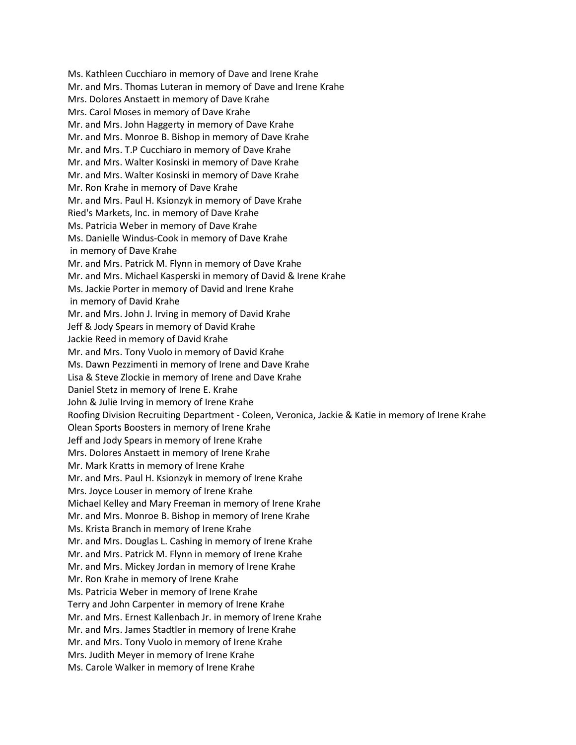Ms. Kathleen Cucchiaro in memory of Dave and Irene Krahe Mr. and Mrs. Thomas Luteran in memory of Dave and Irene Krahe Mrs. Dolores Anstaett in memory of Dave Krahe Mrs. Carol Moses in memory of Dave Krahe Mr. and Mrs. John Haggerty in memory of Dave Krahe Mr. and Mrs. Monroe B. Bishop in memory of Dave Krahe Mr. and Mrs. T.P Cucchiaro in memory of Dave Krahe Mr. and Mrs. Walter Kosinski in memory of Dave Krahe Mr. and Mrs. Walter Kosinski in memory of Dave Krahe Mr. Ron Krahe in memory of Dave Krahe Mr. and Mrs. Paul H. Ksionzyk in memory of Dave Krahe Ried's Markets, Inc. in memory of Dave Krahe Ms. Patricia Weber in memory of Dave Krahe Ms. Danielle Windus-Cook in memory of Dave Krahe in memory of Dave Krahe Mr. and Mrs. Patrick M. Flynn in memory of Dave Krahe Mr. and Mrs. Michael Kasperski in memory of David & Irene Krahe Ms. Jackie Porter in memory of David and Irene Krahe in memory of David Krahe Mr. and Mrs. John J. Irving in memory of David Krahe Jeff & Jody Spears in memory of David Krahe Jackie Reed in memory of David Krahe Mr. and Mrs. Tony Vuolo in memory of David Krahe Ms. Dawn Pezzimenti in memory of Irene and Dave Krahe Lisa & Steve Zlockie in memory of Irene and Dave Krahe Daniel Stetz in memory of Irene E. Krahe John & Julie Irving in memory of Irene Krahe Roofing Division Recruiting Department - Coleen, Veronica, Jackie & Katie in memory of Irene Krahe Olean Sports Boosters in memory of Irene Krahe Jeff and Jody Spears in memory of Irene Krahe Mrs. Dolores Anstaett in memory of Irene Krahe Mr. Mark Kratts in memory of Irene Krahe Mr. and Mrs. Paul H. Ksionzyk in memory of Irene Krahe Mrs. Joyce Louser in memory of Irene Krahe Michael Kelley and Mary Freeman in memory of Irene Krahe Mr. and Mrs. Monroe B. Bishop in memory of Irene Krahe Ms. Krista Branch in memory of Irene Krahe Mr. and Mrs. Douglas L. Cashing in memory of Irene Krahe Mr. and Mrs. Patrick M. Flynn in memory of Irene Krahe Mr. and Mrs. Mickey Jordan in memory of Irene Krahe Mr. Ron Krahe in memory of Irene Krahe Ms. Patricia Weber in memory of Irene Krahe Terry and John Carpenter in memory of Irene Krahe Mr. and Mrs. Ernest Kallenbach Jr. in memory of Irene Krahe Mr. and Mrs. James Stadtler in memory of Irene Krahe Mr. and Mrs. Tony Vuolo in memory of Irene Krahe Mrs. Judith Meyer in memory of Irene Krahe Ms. Carole Walker in memory of Irene Krahe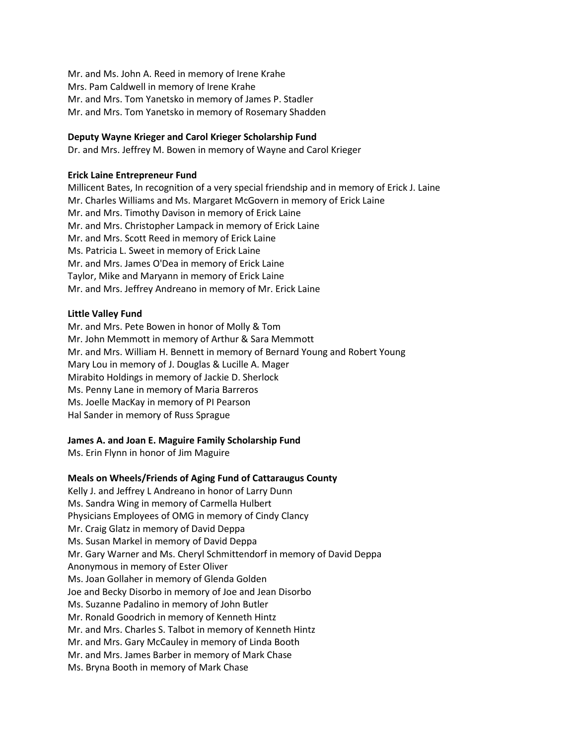Mr. and Ms. John A. Reed in memory of Irene Krahe Mrs. Pam Caldwell in memory of Irene Krahe Mr. and Mrs. Tom Yanetsko in memory of James P. Stadler Mr. and Mrs. Tom Yanetsko in memory of Rosemary Shadden

# **Deputy Wayne Krieger and Carol Krieger Scholarship Fund**

Dr. and Mrs. Jeffrey M. Bowen in memory of Wayne and Carol Krieger

## **Erick Laine Entrepreneur Fund**

Millicent Bates, In recognition of a very special friendship and in memory of Erick J. Laine Mr. Charles Williams and Ms. Margaret McGovern in memory of Erick Laine Mr. and Mrs. Timothy Davison in memory of Erick Laine Mr. and Mrs. Christopher Lampack in memory of Erick Laine Mr. and Mrs. Scott Reed in memory of Erick Laine Ms. Patricia L. Sweet in memory of Erick Laine Mr. and Mrs. James O'Dea in memory of Erick Laine Taylor, Mike and Maryann in memory of Erick Laine Mr. and Mrs. Jeffrey Andreano in memory of Mr. Erick Laine

# **Little Valley Fund**

Mr. and Mrs. Pete Bowen in honor of Molly & Tom Mr. John Memmott in memory of Arthur & Sara Memmott Mr. and Mrs. William H. Bennett in memory of Bernard Young and Robert Young Mary Lou in memory of J. Douglas & Lucille A. Mager Mirabito Holdings in memory of Jackie D. Sherlock Ms. Penny Lane in memory of Maria Barreros Ms. Joelle MacKay in memory of PI Pearson Hal Sander in memory of Russ Sprague

# **James A. and Joan E. Maguire Family Scholarship Fund**

Ms. Erin Flynn in honor of Jim Maguire

# **Meals on Wheels/Friends of Aging Fund of Cattaraugus County**

Kelly J. and Jeffrey L Andreano in honor of Larry Dunn Ms. Sandra Wing in memory of Carmella Hulbert Physicians Employees of OMG in memory of Cindy Clancy Mr. Craig Glatz in memory of David Deppa Ms. Susan Markel in memory of David Deppa Mr. Gary Warner and Ms. Cheryl Schmittendorf in memory of David Deppa Anonymous in memory of Ester Oliver Ms. Joan Gollaher in memory of Glenda Golden Joe and Becky Disorbo in memory of Joe and Jean Disorbo Ms. Suzanne Padalino in memory of John Butler Mr. Ronald Goodrich in memory of Kenneth Hintz Mr. and Mrs. Charles S. Talbot in memory of Kenneth Hintz Mr. and Mrs. Gary McCauley in memory of Linda Booth Mr. and Mrs. James Barber in memory of Mark Chase Ms. Bryna Booth in memory of Mark Chase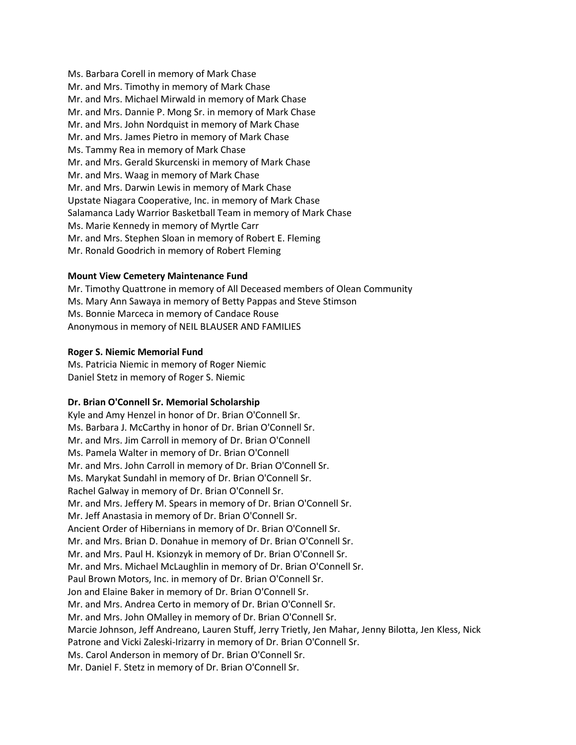Ms. Barbara Corell in memory of Mark Chase Mr. and Mrs. Timothy in memory of Mark Chase Mr. and Mrs. Michael Mirwald in memory of Mark Chase Mr. and Mrs. Dannie P. Mong Sr. in memory of Mark Chase Mr. and Mrs. John Nordquist in memory of Mark Chase Mr. and Mrs. James Pietro in memory of Mark Chase Ms. Tammy Rea in memory of Mark Chase Mr. and Mrs. Gerald Skurcenski in memory of Mark Chase Mr. and Mrs. Waag in memory of Mark Chase Mr. and Mrs. Darwin Lewis in memory of Mark Chase Upstate Niagara Cooperative, Inc. in memory of Mark Chase Salamanca Lady Warrior Basketball Team in memory of Mark Chase Ms. Marie Kennedy in memory of Myrtle Carr Mr. and Mrs. Stephen Sloan in memory of Robert E. Fleming Mr. Ronald Goodrich in memory of Robert Fleming

# **Mount View Cemetery Maintenance Fund**

Mr. Timothy Quattrone in memory of All Deceased members of Olean Community Ms. Mary Ann Sawaya in memory of Betty Pappas and Steve Stimson Ms. Bonnie Marceca in memory of Candace Rouse Anonymous in memory of NEIL BLAUSER AND FAMILIES

## **Roger S. Niemic Memorial Fund**

Ms. Patricia Niemic in memory of Roger Niemic Daniel Stetz in memory of Roger S. Niemic

## **Dr. Brian O'Connell Sr. Memorial Scholarship**

Kyle and Amy Henzel in honor of Dr. Brian O'Connell Sr. Ms. Barbara J. McCarthy in honor of Dr. Brian O'Connell Sr. Mr. and Mrs. Jim Carroll in memory of Dr. Brian O'Connell Ms. Pamela Walter in memory of Dr. Brian O'Connell Mr. and Mrs. John Carroll in memory of Dr. Brian O'Connell Sr. Ms. Marykat Sundahl in memory of Dr. Brian O'Connell Sr. Rachel Galway in memory of Dr. Brian O'Connell Sr. Mr. and Mrs. Jeffery M. Spears in memory of Dr. Brian O'Connell Sr. Mr. Jeff Anastasia in memory of Dr. Brian O'Connell Sr. Ancient Order of Hibernians in memory of Dr. Brian O'Connell Sr. Mr. and Mrs. Brian D. Donahue in memory of Dr. Brian O'Connell Sr. Mr. and Mrs. Paul H. Ksionzyk in memory of Dr. Brian O'Connell Sr. Mr. and Mrs. Michael McLaughlin in memory of Dr. Brian O'Connell Sr. Paul Brown Motors, Inc. in memory of Dr. Brian O'Connell Sr. Jon and Elaine Baker in memory of Dr. Brian O'Connell Sr. Mr. and Mrs. Andrea Certo in memory of Dr. Brian O'Connell Sr. Mr. and Mrs. John OMalley in memory of Dr. Brian O'Connell Sr. Marcie Johnson, Jeff Andreano, Lauren Stuff, Jerry Trietly, Jen Mahar, Jenny Bilotta, Jen Kless, Nick Patrone and Vicki Zaleski-Irizarry in memory of Dr. Brian O'Connell Sr. Ms. Carol Anderson in memory of Dr. Brian O'Connell Sr. Mr. Daniel F. Stetz in memory of Dr. Brian O'Connell Sr.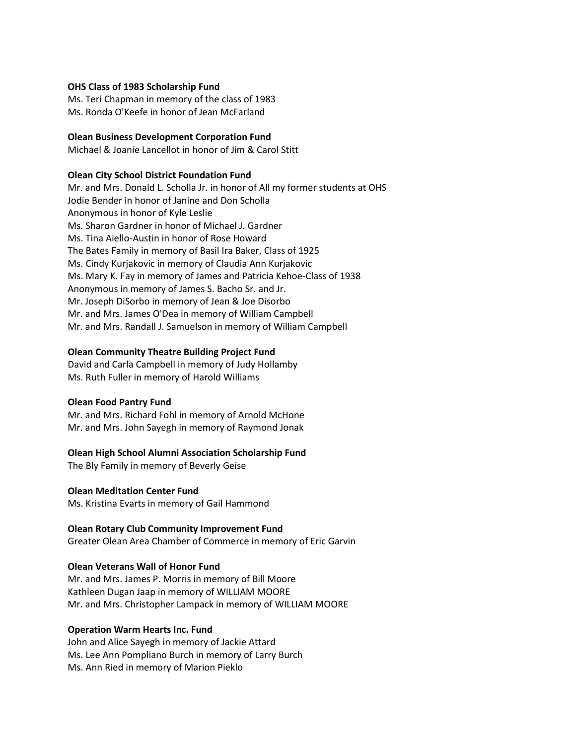#### **OHS Class of 1983 Scholarship Fund**

Ms. Teri Chapman in memory of the class of 1983 Ms. Ronda O'Keefe in honor of Jean McFarland

#### **Olean Business Development Corporation Fund**

Michael & Joanie Lancellot in honor of Jim & Carol Stitt

## **Olean City School District Foundation Fund**

Mr. and Mrs. Donald L. Scholla Jr. in honor of All my former students at OHS Jodie Bender in honor of Janine and Don Scholla Anonymous in honor of Kyle Leslie Ms. Sharon Gardner in honor of Michael J. Gardner Ms. Tina Aiello-Austin in honor of Rose Howard The Bates Family in memory of Basil Ira Baker, Class of 1925 Ms. Cindy Kurjakovic in memory of Claudia Ann Kurjakovic Ms. Mary K. Fay in memory of James and Patricia Kehoe-Class of 1938 Anonymous in memory of James S. Bacho Sr. and Jr. Mr. Joseph DiSorbo in memory of Jean & Joe Disorbo Mr. and Mrs. James O'Dea in memory of William Campbell Mr. and Mrs. Randall J. Samuelson in memory of William Campbell

#### **Olean Community Theatre Building Project Fund**

David and Carla Campbell in memory of Judy Hollamby Ms. Ruth Fuller in memory of Harold Williams

#### **Olean Food Pantry Fund**

Mr. and Mrs. Richard Fohl in memory of Arnold McHone Mr. and Mrs. John Sayegh in memory of Raymond Jonak

## **Olean High School Alumni Association Scholarship Fund**

The Bly Family in memory of Beverly Geise

#### **Olean Meditation Center Fund**

Ms. Kristina Evarts in memory of Gail Hammond

#### **Olean Rotary Club Community Improvement Fund**

Greater Olean Area Chamber of Commerce in memory of Eric Garvin

## **Olean Veterans Wall of Honor Fund**

Mr. and Mrs. James P. Morris in memory of Bill Moore Kathleen Dugan Jaap in memory of WILLIAM MOORE Mr. and Mrs. Christopher Lampack in memory of WILLIAM MOORE

## **Operation Warm Hearts Inc. Fund**

John and Alice Sayegh in memory of Jackie Attard Ms. Lee Ann Pompliano Burch in memory of Larry Burch Ms. Ann Ried in memory of Marion Pieklo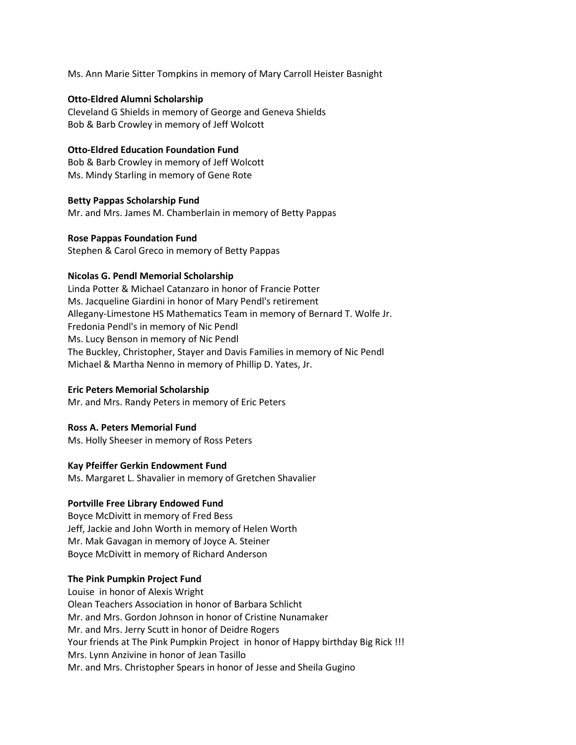Ms. Ann Marie Sitter Tompkins in memory of Mary Carroll Heister Basnight

## **Otto-Eldred Alumni Scholarship**

Cleveland G Shields in memory of George and Geneva Shields Bob & Barb Crowley in memory of Jeff Wolcott

# **Otto-Eldred Education Foundation Fund**

Bob & Barb Crowley in memory of Jeff Wolcott Ms. Mindy Starling in memory of Gene Rote

# **Betty Pappas Scholarship Fund**

Mr. and Mrs. James M. Chamberlain in memory of Betty Pappas

# **Rose Pappas Foundation Fund**

Stephen & Carol Greco in memory of Betty Pappas

# **Nicolas G. Pendl Memorial Scholarship**

Linda Potter & Michael Catanzaro in honor of Francie Potter Ms. Jacqueline Giardini in honor of Mary Pendl's retirement Allegany-Limestone HS Mathematics Team in memory of Bernard T. Wolfe Jr. Fredonia Pendl's in memory of Nic Pendl Ms. Lucy Benson in memory of Nic Pendl The Buckley, Christopher, Stayer and Davis Families in memory of Nic Pendl Michael & Martha Nenno in memory of Phillip D. Yates, Jr.

## **Eric Peters Memorial Scholarship**

Mr. and Mrs. Randy Peters in memory of Eric Peters

## **Ross A. Peters Memorial Fund**

Ms. Holly Sheeser in memory of Ross Peters

# **Kay Pfeiffer Gerkin Endowment Fund**

Ms. Margaret L. Shavalier in memory of Gretchen Shavalier

## **Portville Free Library Endowed Fund**

Boyce McDivitt in memory of Fred Bess Jeff, Jackie and John Worth in memory of Helen Worth Mr. Mak Gavagan in memory of Joyce A. Steiner Boyce McDivitt in memory of Richard Anderson

# **The Pink Pumpkin Project Fund**

Louise in honor of Alexis Wright Olean Teachers Association in honor of Barbara Schlicht Mr. and Mrs. Gordon Johnson in honor of Cristine Nunamaker Mr. and Mrs. Jerry Scutt in honor of Deidre Rogers Your friends at The Pink Pumpkin Project in honor of Happy birthday Big Rick !!! Mrs. Lynn Anzivine in honor of Jean Tasillo Mr. and Mrs. Christopher Spears in honor of Jesse and Sheila Gugino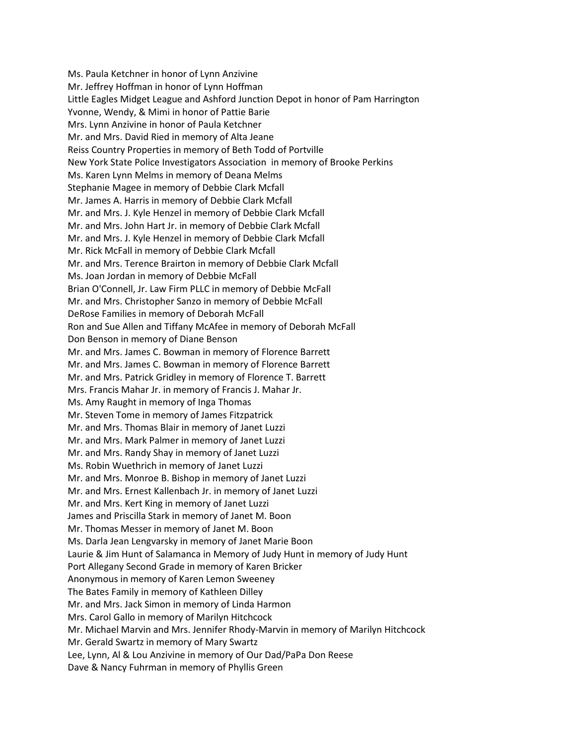Ms. Paula Ketchner in honor of Lynn Anzivine Mr. Jeffrey Hoffman in honor of Lynn Hoffman Little Eagles Midget League and Ashford Junction Depot in honor of Pam Harrington Yvonne, Wendy, & Mimi in honor of Pattie Barie Mrs. Lynn Anzivine in honor of Paula Ketchner Mr. and Mrs. David Ried in memory of Alta Jeane Reiss Country Properties in memory of Beth Todd of Portville New York State Police Investigators Association in memory of Brooke Perkins Ms. Karen Lynn Melms in memory of Deana Melms Stephanie Magee in memory of Debbie Clark Mcfall Mr. James A. Harris in memory of Debbie Clark Mcfall Mr. and Mrs. J. Kyle Henzel in memory of Debbie Clark Mcfall Mr. and Mrs. John Hart Jr. in memory of Debbie Clark Mcfall Mr. and Mrs. J. Kyle Henzel in memory of Debbie Clark Mcfall Mr. Rick McFall in memory of Debbie Clark Mcfall Mr. and Mrs. Terence Brairton in memory of Debbie Clark Mcfall Ms. Joan Jordan in memory of Debbie McFall Brian O'Connell, Jr. Law Firm PLLC in memory of Debbie McFall Mr. and Mrs. Christopher Sanzo in memory of Debbie McFall DeRose Families in memory of Deborah McFall Ron and Sue Allen and Tiffany McAfee in memory of Deborah McFall Don Benson in memory of Diane Benson Mr. and Mrs. James C. Bowman in memory of Florence Barrett Mr. and Mrs. James C. Bowman in memory of Florence Barrett Mr. and Mrs. Patrick Gridley in memory of Florence T. Barrett Mrs. Francis Mahar Jr. in memory of Francis J. Mahar Jr. Ms. Amy Raught in memory of Inga Thomas Mr. Steven Tome in memory of James Fitzpatrick Mr. and Mrs. Thomas Blair in memory of Janet Luzzi Mr. and Mrs. Mark Palmer in memory of Janet Luzzi Mr. and Mrs. Randy Shay in memory of Janet Luzzi Ms. Robin Wuethrich in memory of Janet Luzzi Mr. and Mrs. Monroe B. Bishop in memory of Janet Luzzi Mr. and Mrs. Ernest Kallenbach Jr. in memory of Janet Luzzi Mr. and Mrs. Kert King in memory of Janet Luzzi James and Priscilla Stark in memory of Janet M. Boon Mr. Thomas Messer in memory of Janet M. Boon Ms. Darla Jean Lengvarsky in memory of Janet Marie Boon Laurie & Jim Hunt of Salamanca in Memory of Judy Hunt in memory of Judy Hunt Port Allegany Second Grade in memory of Karen Bricker Anonymous in memory of Karen Lemon Sweeney The Bates Family in memory of Kathleen Dilley Mr. and Mrs. Jack Simon in memory of Linda Harmon Mrs. Carol Gallo in memory of Marilyn Hitchcock Mr. Michael Marvin and Mrs. Jennifer Rhody-Marvin in memory of Marilyn Hitchcock Mr. Gerald Swartz in memory of Mary Swartz Lee, Lynn, Al & Lou Anzivine in memory of Our Dad/PaPa Don Reese Dave & Nancy Fuhrman in memory of Phyllis Green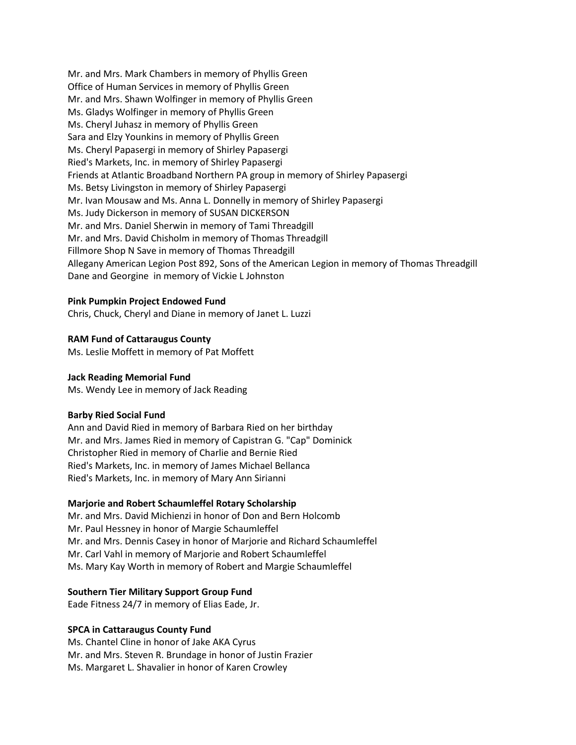Mr. and Mrs. Mark Chambers in memory of Phyllis Green Office of Human Services in memory of Phyllis Green Mr. and Mrs. Shawn Wolfinger in memory of Phyllis Green Ms. Gladys Wolfinger in memory of Phyllis Green Ms. Cheryl Juhasz in memory of Phyllis Green Sara and Elzy Younkins in memory of Phyllis Green Ms. Cheryl Papasergi in memory of Shirley Papasergi Ried's Markets, Inc. in memory of Shirley Papasergi Friends at Atlantic Broadband Northern PA group in memory of Shirley Papasergi Ms. Betsy Livingston in memory of Shirley Papasergi Mr. Ivan Mousaw and Ms. Anna L. Donnelly in memory of Shirley Papasergi Ms. Judy Dickerson in memory of SUSAN DICKERSON Mr. and Mrs. Daniel Sherwin in memory of Tami Threadgill Mr. and Mrs. David Chisholm in memory of Thomas Threadgill Fillmore Shop N Save in memory of Thomas Threadgill Allegany American Legion Post 892, Sons of the American Legion in memory of Thomas Threadgill Dane and Georgine in memory of Vickie L Johnston

## **Pink Pumpkin Project Endowed Fund**

Chris, Chuck, Cheryl and Diane in memory of Janet L. Luzzi

# **RAM Fund of Cattaraugus County**

Ms. Leslie Moffett in memory of Pat Moffett

## **Jack Reading Memorial Fund**

Ms. Wendy Lee in memory of Jack Reading

## **Barby Ried Social Fund**

Ann and David Ried in memory of Barbara Ried on her birthday Mr. and Mrs. James Ried in memory of Capistran G. "Cap" Dominick Christopher Ried in memory of Charlie and Bernie Ried Ried's Markets, Inc. in memory of James Michael Bellanca Ried's Markets, Inc. in memory of Mary Ann Sirianni

## **Marjorie and Robert Schaumleffel Rotary Scholarship**

Mr. and Mrs. David Michienzi in honor of Don and Bern Holcomb Mr. Paul Hessney in honor of Margie Schaumleffel Mr. and Mrs. Dennis Casey in honor of Marjorie and Richard Schaumleffel Mr. Carl Vahl in memory of Marjorie and Robert Schaumleffel Ms. Mary Kay Worth in memory of Robert and Margie Schaumleffel

# **Southern Tier Military Support Group Fund**

Eade Fitness 24/7 in memory of Elias Eade, Jr.

## **SPCA in Cattaraugus County Fund**

Ms. Chantel Cline in honor of Jake AKA Cyrus Mr. and Mrs. Steven R. Brundage in honor of Justin Frazier Ms. Margaret L. Shavalier in honor of Karen Crowley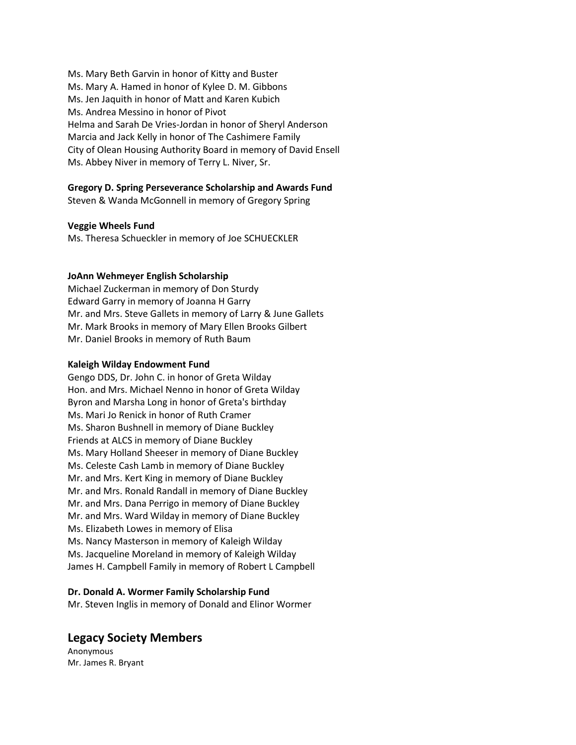Ms. Mary Beth Garvin in honor of Kitty and Buster Ms. Mary A. Hamed in honor of Kylee D. M. Gibbons Ms. Jen Jaquith in honor of Matt and Karen Kubich Ms. Andrea Messino in honor of Pivot Helma and Sarah De Vries-Jordan in honor of Sheryl Anderson Marcia and Jack Kelly in honor of The Cashimere Family City of Olean Housing Authority Board in memory of David Ensell Ms. Abbey Niver in memory of Terry L. Niver, Sr.

# **Gregory D. Spring Perseverance Scholarship and Awards Fund**

Steven & Wanda McGonnell in memory of Gregory Spring

## **Veggie Wheels Fund**

Ms. Theresa Schueckler in memory of Joe SCHUECKLER

## **JoAnn Wehmeyer English Scholarship**

Michael Zuckerman in memory of Don Sturdy Edward Garry in memory of Joanna H Garry Mr. and Mrs. Steve Gallets in memory of Larry & June Gallets Mr. Mark Brooks in memory of Mary Ellen Brooks Gilbert Mr. Daniel Brooks in memory of Ruth Baum

#### **Kaleigh Wilday Endowment Fund**

Gengo DDS, Dr. John C. in honor of Greta Wilday Hon. and Mrs. Michael Nenno in honor of Greta Wilday Byron and Marsha Long in honor of Greta's birthday Ms. Mari Jo Renick in honor of Ruth Cramer Ms. Sharon Bushnell in memory of Diane Buckley Friends at ALCS in memory of Diane Buckley Ms. Mary Holland Sheeser in memory of Diane Buckley Ms. Celeste Cash Lamb in memory of Diane Buckley Mr. and Mrs. Kert King in memory of Diane Buckley Mr. and Mrs. Ronald Randall in memory of Diane Buckley Mr. and Mrs. Dana Perrigo in memory of Diane Buckley Mr. and Mrs. Ward Wilday in memory of Diane Buckley Ms. Elizabeth Lowes in memory of Elisa Ms. Nancy Masterson in memory of Kaleigh Wilday Ms. Jacqueline Moreland in memory of Kaleigh Wilday James H. Campbell Family in memory of Robert L Campbell

## **Dr. Donald A. Wormer Family Scholarship Fund**

Mr. Steven Inglis in memory of Donald and Elinor Wormer

# **Legacy Society Members**

Anonymous Mr. James R. Bryant